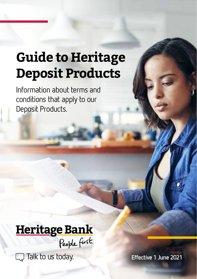# **Guide to Heritage Deposit Products**

Information about terms and conditions that apply to our Deposit Products.

## **Heritage Bank** People first.

**Talk to us today.** 

**Effective 1 June 2021**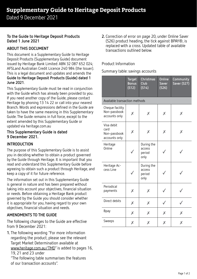Dated 9 December 2021

#### **To the Guide to Heritage Deposit Products Dated 1 June 2021**

#### **ABOUT THIS DOCUMENT**

This document is a Supplementary Guide to Heritage Deposit Products (Supplementary Guide) document issued by Heritage Bank Limited: ABN 32 087 652 024; AFSLand Australian Credit Licence 240 984 (the Issuer). This is a legal document and updates and amends the **Guide to Heritage Deposit Products (Guide) dated 1 June 2021**.

This Supplementary Guide must be read in conjunction with the Guide which has already been provided to you. If you need another copy of the Guide, please contact Heritage by phoning 13 14 22 or call into your nearest Branch. Words and expressions defined in the Guide are taken to have the same meaning in this Supplementary Guide. The Guide remains in full force, except to the extent amended by this Supplementary Guide or updated via heritage.com.au

#### **This Supplementary Guide is dated 9 December 2021.**

#### **INTRODUCTION**

The purpose of this Supplementary Guide is to assist you in deciding whether to obtain a product governed by the Guide through Heritage. It is important that you read and understand this Supplementary Guide before agreeing to obtain such a product through Heritage, and keep a copy of it for future reference.

The information set out in this Supplementary Guide is general in nature and has been prepared without taking into account your objectives, financial situation or needs. Before obtaining a Heritage Bank product governed by the Guide you should consider whether it is appropriate for you, having regard to your own objectives, financial situation and needs.

#### **AMENDMENTS TO THE GUIDE**

The following changes to the Guide are effective from 9 December 2021:

**1.** The following wording "For more information regarding the product, please see the relevant Target Market Determination available at www.heritage.com.au/TMD" is added to pages 16, 19, 21 and 23 under

"The following table summarises the features of our transaction accounts".

**2.** Correction of error on page 20, under Online Saver (S26) product heading, the tick against BPAY®, is replaced with a cross. Updated table of available transactions outlined below.

#### Product Information

#### Summary table: savings accounts

|                                                     | Target<br><b>Bonus</b><br>(S12) | Christmas<br><b>Club</b><br>(514)      | Online<br>Saver<br>(S26) | Community<br>Saver (S27) |
|-----------------------------------------------------|---------------------------------|----------------------------------------|--------------------------|--------------------------|
| Available transaction methods                       |                                 |                                        |                          |                          |
| Cheque facility<br>Non-passbook<br>accounts only    | X                               | Х                                      | X                        | х                        |
| Visa debit<br>card<br>Non-passbook<br>accounts only | Х                               | Х                                      | Х                        | Х                        |
| Heritage<br>Online                                  |                                 | During the<br>access<br>period<br>only |                          |                          |
| Heritage Ac-<br>cess Line                           |                                 | During the<br>access<br>period<br>only |                          |                          |
| Periodical<br>payments                              | X                               | X                                      |                          |                          |
| Direct debits                                       | X                               | Х                                      |                          |                          |
| Bpay                                                | Х                               | Х                                      | X                        | Х                        |
| Sweeps                                              | X                               | Х                                      | X                        | Х                        |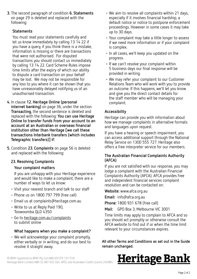**3.** The second paragraph of condition **6. Statements**  on page 29 is deleted and replaced with the following:

#### **Statements**

You must read your statements carefully and let us know immediately by calling 13 14 22 if you have a query, if you think there is a mistake, information is missing or there are transactions that were not authorised. For disputed transactions you should contact us immediately by calling 13 14 22. Card Scheme Rules impose time limits after the expiry of which our ability to dispute a card transaction on your behalf may be lost. We may not be responsible for any loss to you where it can be shown that you have unreasonably delayed notifying us of an unauthorised transaction.

**4.** In clause **12. Heritage Online (personal internet banking)** on page 36, under the section **Transacting**, the second sentence is deleted and replaced with the following: **You can use Heritage Online to transfer funds from your account to an account at an Australian or overseas financial institution other than Heritage [we call these transactions Interbank transfers (which includes Telegraphic transfers)] if:**

**5.** Condition **23. Complaints** on page 56 is deleted and replaced with the following:

#### **23. Resolving Complaints**

#### **Your complaint matters**

 If you are unhappy with your Heritage experience and would like to make a complaint, there are a number of ways to let us know:

- Visit your nearest branch and talk to our staff
- Phone us on 1800 797 799 (free call)
- Email us at complaints@heritage.com.au
- Write to us at Reply Paid 190, Toowoomba QLD 4350
- Go to heritage.com.au/complaints to submit online

#### **What happens when you make a complaint?**

• We will acknowledge your complaint promptly, either verbally or in writing, and do our best to resolve it straight away.

- We aim to resolve all complaints within 21 days, especially if it involves financial hardship, a default notice or notice to postpone enforcement proceedings. However in some cases it may take up to 30 days.
- Your complaint may take a little longer to assess if we need more information or if your complaint is complex.
- In all cases, we'll keep you updated on the progress.
- If we can't resolve your complaint within 5 business days our final response will be provided in writing.
- We may refer your complaint to our Customer Relations Team who will work with you to provide an outcome. If this happens, we'll let you know and give you the direct contact details for the staff member who will be managing your complaint.

#### **Accessibility**

Heritage can provide you with information about how we manage complaints in alternative formats and languages upon request.

If you have a hearing or speech impairment, you can access additional support through the National Relay Service on 1300 555 727. Heritage also offers a free interpreter service for our members.

#### **The Australian Financial Complaints Authority (AFCA)**

If you are not satisfied with our response, you may lodge a complaint with the Australian Financial Complaints Authority (AFCA). AFCA provides free and independent financial services complaint resolution and can be contacted on:

**Website:** www.afca.org.au

**Email:** info@afca.org.au

**Phone:** 1800 931 678 (free call)

**Mail:** GPO Box 3, Melbourne VIC 3001

Time limits may apply to complain to AFCA and so you should act promptly or otherwise consult the AFCA website to find out if or when the time limit relevant to your circumstances expires.

**All other Terms and Conditions as set out in the Guide remain unchanged.**

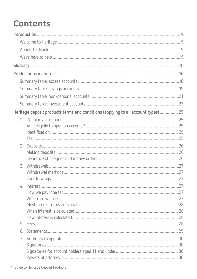## **Contents**

| Heritage deposit products terms and conditions (applying to all account types) 25<br>2.<br>3.<br>4<br>5.<br>6.<br>7. |  |  |
|----------------------------------------------------------------------------------------------------------------------|--|--|
|                                                                                                                      |  |  |
|                                                                                                                      |  |  |
|                                                                                                                      |  |  |
|                                                                                                                      |  |  |
|                                                                                                                      |  |  |
|                                                                                                                      |  |  |
|                                                                                                                      |  |  |
|                                                                                                                      |  |  |
|                                                                                                                      |  |  |
|                                                                                                                      |  |  |
|                                                                                                                      |  |  |
|                                                                                                                      |  |  |
|                                                                                                                      |  |  |
|                                                                                                                      |  |  |
|                                                                                                                      |  |  |
|                                                                                                                      |  |  |
|                                                                                                                      |  |  |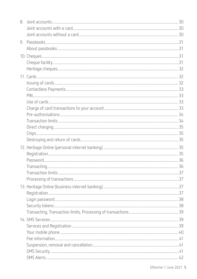| 9. |  |
|----|--|
|    |  |
|    |  |
|    |  |
|    |  |
|    |  |
|    |  |
|    |  |
|    |  |
|    |  |
|    |  |
|    |  |
|    |  |
|    |  |
|    |  |
|    |  |
|    |  |
|    |  |
|    |  |
|    |  |
|    |  |
|    |  |
|    |  |
|    |  |
|    |  |
|    |  |
|    |  |
|    |  |
|    |  |
|    |  |
|    |  |
|    |  |
|    |  |
|    |  |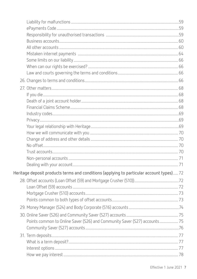| Heritage deposit products terms and conditions (applying to particular account types) 72 |  |
|------------------------------------------------------------------------------------------|--|
|                                                                                          |  |
|                                                                                          |  |
|                                                                                          |  |
|                                                                                          |  |
|                                                                                          |  |
|                                                                                          |  |
| Points common to Online Saver (S26) and Community Saver (S27) accounts 75                |  |
|                                                                                          |  |
|                                                                                          |  |
|                                                                                          |  |
|                                                                                          |  |
|                                                                                          |  |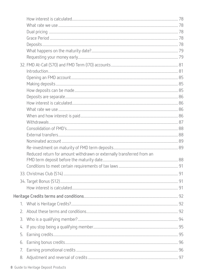| 4.<br>5.<br>6.<br>7.<br>8. | Reduced return for amount withdrawn or externally transferred from an |
|----------------------------|-----------------------------------------------------------------------|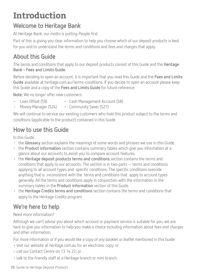## **Introduction**

## **Welcome to Heritage Bank**

At Heritage Bank, our motto is putting People first.

Part of this is giving you clear information to help you choose which of our deposit products is best for you and to understand the terms and conditions and fees and charges that apply.

## **About this Guide**

The terms and conditions that apply to our deposit products consist of this Guide and the **Heritage Bank - Fees and Limits Guide.**

Before deciding to open an account, it is important that you read this Guide and the **Fees and Limits Guide** available at heritage.com.au/terms-conditions. If you decide to open an account please keep this Guide and a copy of the **Fees and Limits Guide** for future reference.

**Note:** We no longer offer new customers:

- 
- Loan Offset (S9) Cash Management Account (S8) • Money Manager (S24) • Community Saver (S27)

We will continue to service our existing customers who hold this product subject to the terms and conditions (applicable to the product) contained in this Guide.

## **How to use this Guide**

In this Guide:

- the **Glossary** section explains the meanings of some words and phrases we use in this Guide.
- the **Product information** section contains summary tables which give you information at a glance about our accounts to assist you to compare account features.
- the **Heritage deposit products terms and conditions** section contains the terms and conditions that apply to our accounts. The section is in two parts – terms and conditions applying to all account types and specific conditions. The specific conditions override anything that is inconsistent with the terms and conditions that apply to account types generally. All the terms and conditions apply in conjunction with the information in the summary tables in the **Product information** section of this Guide.
- the **Heritage Credits terms and conditions** section contains the terms and conditions that apply to the Heritage Credits program.

## **We're here to help**

#### Need more information?

Although we can't advise you about which account or payment service is suitable for you, we are here to give you information to help you make a choice including information about fees and charges and other information.

For more information or if you would like a copy of any booklet or leaflet mentioned in this Guide:

- visit our website at heritage.com.au for an electronic copy; or
- call our Contact Centre on 13 14 22; or
- talk to the friendly staff at a Heritage branch or mini branch.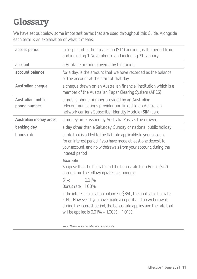## **Glossary**

We have set out below some important terms that are used throughout this Guide. Alongside each term is an explanation of what it means.

| access period                     | in respect of a Christmas Club (S14) account, is the period from<br>and including 1 November to and including 31 January                                                                                                                                                                                                                                                                                                               |  |
|-----------------------------------|----------------------------------------------------------------------------------------------------------------------------------------------------------------------------------------------------------------------------------------------------------------------------------------------------------------------------------------------------------------------------------------------------------------------------------------|--|
| account                           | a Heritage account covered by this Guide                                                                                                                                                                                                                                                                                                                                                                                               |  |
| account balance                   | for a day, is the amount that we have recorded as the balance<br>of the account at the start of that day                                                                                                                                                                                                                                                                                                                               |  |
| Australian cheque                 | a cheque drawn on an Australian financial institution which is a<br>member of the Australian Paper Clearing System (APCS)                                                                                                                                                                                                                                                                                                              |  |
| Australian mobile<br>phone number | a mobile phone number provided by an Australian<br>telecommunications provider and linked to an Australian<br>network carrier's Subscriber Identity Module (SIM) card                                                                                                                                                                                                                                                                  |  |
| Australian money order            | a money order issued by Australia Post as the drawee                                                                                                                                                                                                                                                                                                                                                                                   |  |
| banking day                       | a day other than a Saturday, Sunday or national public holiday                                                                                                                                                                                                                                                                                                                                                                         |  |
| bonus rate                        | a rate that is added to the flat rate applicable to your account<br>for an interest period if you have made at least one deposit to<br>your account, and no withdrawals from your account, during the<br>interest period                                                                                                                                                                                                               |  |
|                                   | Example<br>Suppose that the flat rate and the bonus rate for a Bonus (S12)<br>account are the following rates per annum:<br>\$1+:<br>0.01%<br>Bonus rate: 1.00%<br>If the interest calculation balance is \$850, the applicable flat rate<br>is Nil. However, if you have made a deposit and no withdrawals<br>during the interest period, the bonus rate applies and the rate that<br>will be applied is $0.01\% + 1.00\% = 1.01\%$ . |  |
|                                   |                                                                                                                                                                                                                                                                                                                                                                                                                                        |  |

**Note: The rates are provided as examples only.**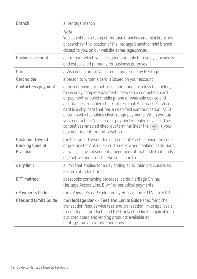| <b>Branch</b>                                               | a Heritage branch                                                                                                                                                                                                                                                                                                                                                                                                                                                                                                                                 |  |
|-------------------------------------------------------------|---------------------------------------------------------------------------------------------------------------------------------------------------------------------------------------------------------------------------------------------------------------------------------------------------------------------------------------------------------------------------------------------------------------------------------------------------------------------------------------------------------------------------------------------------|--|
|                                                             | Note<br>You can obtain a listing of Heritage branches and mini branches,<br>or search for the location of the Heritage branch or mini branch<br>closest to you, on our website at heritage.com.au.                                                                                                                                                                                                                                                                                                                                                |  |
| business account                                            | an account which was designed primarily for use by a business<br>and established primarily for business purposes                                                                                                                                                                                                                                                                                                                                                                                                                                  |  |
| Card                                                        | a Visa debit card or Visa credit card issued by Heritage                                                                                                                                                                                                                                                                                                                                                                                                                                                                                          |  |
| Cardholder                                                  | a person to whom a card is issued on your account                                                                                                                                                                                                                                                                                                                                                                                                                                                                                                 |  |
| Contactless payment                                         | a form of payment that uses short-range wireless technology<br>to securely complete payments between a contactless card<br>or payment-enabled mobile phone or wearable device and<br>a contactless-enabled checkout terminal. A contactless Visa<br>card is a chip card that has a near-field communication (NFC)<br>antenna which enables close-range payments. When you tap<br>your contactless Visa card or payment-enabled device at the<br>contactless-enabled checkout terminal (near the (w) ), your<br>payment is sent for authorisation. |  |
| <b>Customer Owned</b><br><b>Banking Code of</b><br>Practice | the Customer Owned Banking Code of Practice being the code<br>of practice for Australia's customer-owned banking institutions,<br>as well as any subsequent amendment of that code that binds<br>us, that we adopt or that we subscribe to                                                                                                                                                                                                                                                                                                        |  |
| daily limit                                                 | a limit that applies for a day ending at 12 midnight Australian<br>Eastern Standard Time                                                                                                                                                                                                                                                                                                                                                                                                                                                          |  |
| EFT method                                                  | passbooks containing barcodes, cards, Heritage Online,<br>Heritage Access Line, BPAY® or periodical payments                                                                                                                                                                                                                                                                                                                                                                                                                                      |  |
| ePayments Code                                              | the ePayments Code adopted by Heritage on 20 March 2013                                                                                                                                                                                                                                                                                                                                                                                                                                                                                           |  |
| <b>Fees and Limits Guide</b>                                | the Heritage Bank - Fees and Limits Guide specifying the<br>transaction fees, service fees and transaction limits applicable<br>to our deposit products and the transaction limits applicable to<br>our, credit card and lending products available at<br>heritage.com.au/terms-conditions                                                                                                                                                                                                                                                        |  |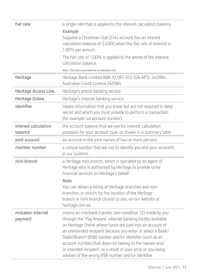| flat rate            | a single rate that is applied to the interest calculation balance                                                                                              |  |
|----------------------|----------------------------------------------------------------------------------------------------------------------------------------------------------------|--|
|                      | Example                                                                                                                                                        |  |
|                      | Suppose a Christmas Club (S14) account has an interest                                                                                                         |  |
|                      | calculation balance of \$3,000 when the flat rate of interest is                                                                                               |  |
|                      | 1.00% per annum.                                                                                                                                               |  |
|                      | The flat rate of 1.00% is applied to the whole of the interest<br>calculation balance.                                                                         |  |
|                      | Note: The rate is provided as an example only.                                                                                                                 |  |
| Heritage             | Heritage Bank Limited ABN 32 087 652 024 AFSL 240984,<br>Australian Credit Licence 240984                                                                      |  |
| Heritage Access Line | Heritage's phone banking service                                                                                                                               |  |
| Heritage Online      | Heritage's internet banking service                                                                                                                            |  |
| identifier           | means information that you know but are not required to keep<br>secret and which you must provide to perform a transaction<br>(for example, an account number) |  |
| interest calculation | the account balance that we use for interest calculation                                                                                                       |  |
| balance              | purposes for your account type, as shown in a summary table                                                                                                    |  |
| joint account        | an account in the joint names of two or more persons                                                                                                           |  |
| member number        | a unique number that we use to identify you and your accounts<br>in our systems                                                                                |  |
| mini branch          | a Heritage mini branch, which is operated by an agent of<br>Heritage who is authorised by Heritage to provide some<br>financial services on Heritage's behalf  |  |
|                      | Note                                                                                                                                                           |  |
|                      | You can obtain a listing of Heritage branches and mini                                                                                                         |  |
|                      | branches, or search for the location of the Heritage                                                                                                           |  |
|                      | branch or mini branch closest to you, on our website at                                                                                                        |  |
| mistaken internet    | heritage.com.au                                                                                                                                                |  |
| payment              | means an interbank transfer (see condition 12) made by you<br>through the 'Pay Anyone' internet banking facility available                                     |  |
|                      | on Heritage Online where funds are paid into an account of                                                                                                     |  |
|                      | an unintended recipient because you enter or select a Bank/                                                                                                    |  |
|                      | State/Branch (BSB) number and/or identifier (such as an                                                                                                        |  |
|                      | account number) that does not belong to the named and/                                                                                                         |  |
|                      | or intended recipient, as a result of your error or you being                                                                                                  |  |
|                      | advised of the wrong BSB number and/or identifier                                                                                                              |  |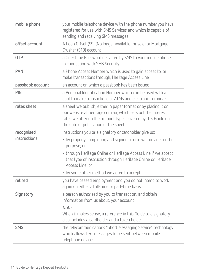| mobile phone     | your mobile telephone device with the phone number you have<br>registered for use with SMS Services and which is capable of<br>sending and receiving SMS messages                                                                     |
|------------------|---------------------------------------------------------------------------------------------------------------------------------------------------------------------------------------------------------------------------------------|
| offset account   | A Loan Offset (S9) (No longer available for sale) or Mortgage<br>Crusher (S10) account                                                                                                                                                |
| 0TP              | a One-Time Password delivered by SMS to your mobile phone<br>in connection with SMS Security                                                                                                                                          |
| <b>PAN</b>       | a Phone Access Number which is used to gain access to, or<br>make transactions through, Heritage Access Line                                                                                                                          |
| passbook account | an account on which a passbook has been issued                                                                                                                                                                                        |
| <b>PIN</b>       | a Personal Identification Number which can be used with a<br>card to make transactions at ATMs and electronic terminals                                                                                                               |
| rates sheet      | a sheet we publish, either in paper format or by placing it on<br>our website at heritage.com.au, which sets out the interest<br>rates we offer on the account types covered by this Guide on<br>the date of publication of the sheet |
| recognised       | instructions you or a signatory or cardholder give us:                                                                                                                                                                                |
| instructions     | • by properly completing and signing a form we provide for the<br>purpose; or                                                                                                                                                         |
|                  | • through Heritage Online or Heritage Access Line if we accept<br>that type of instruction through Heritage Online or Heritage<br>Access Line; or                                                                                     |
|                  | • by some other method we agree to accept                                                                                                                                                                                             |
| retired          | you have ceased employment and you do not intend to work<br>again on either a full-time or part-time basis                                                                                                                            |
| Signatory        | a person authorised by you to transact on, and obtain<br>information from us about, your account                                                                                                                                      |
|                  | Note                                                                                                                                                                                                                                  |
|                  | When it makes sense, a reference in this Guide to a signatory<br>also includes a cardholder and a token holder                                                                                                                        |
| <b>SMS</b>       | the telecommunications "Short Messaging Service" technology<br>which allows text messages to be sent between mobile<br>telephone devices                                                                                              |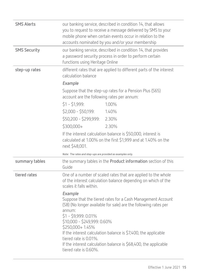| <b>SMS Alerts</b>   | our banking service, described in condition 14, that allows<br>you to request to receive a message delivered by SMS to your<br>mobile phone when certain events occur in relation to the<br>accounts nominated by you and/or your membership                                                                                                                                                                         |                                                                                                                              |  |
|---------------------|----------------------------------------------------------------------------------------------------------------------------------------------------------------------------------------------------------------------------------------------------------------------------------------------------------------------------------------------------------------------------------------------------------------------|------------------------------------------------------------------------------------------------------------------------------|--|
| <b>SMS Security</b> | functions using Heritage Online                                                                                                                                                                                                                                                                                                                                                                                      | our banking service, described in condition 14, that provides<br>a password security process in order to perform certain     |  |
| step-up rates       | different rates that are applied to different parts of the interest<br>calculation balance                                                                                                                                                                                                                                                                                                                           |                                                                                                                              |  |
|                     | Example                                                                                                                                                                                                                                                                                                                                                                                                              |                                                                                                                              |  |
|                     | account are the following rates per annum:                                                                                                                                                                                                                                                                                                                                                                           | Suppose that the step-up rates for a Pension Plus (S65)                                                                      |  |
|                     | $$1 - $1,999$ :                                                                                                                                                                                                                                                                                                                                                                                                      | 1.00%                                                                                                                        |  |
|                     | $$2,000 - $50,199$ :                                                                                                                                                                                                                                                                                                                                                                                                 | 1.40%                                                                                                                        |  |
|                     | \$50,200 - \$299,999:                                                                                                                                                                                                                                                                                                                                                                                                | 2.30%                                                                                                                        |  |
|                     | \$300,000+                                                                                                                                                                                                                                                                                                                                                                                                           | 2.30%                                                                                                                        |  |
|                     | next \$48,001.                                                                                                                                                                                                                                                                                                                                                                                                       | If the interest calculation balance is \$50,000, interest is<br>calculated at 1.00% on the first \$1,999 and at 1.40% on the |  |
|                     | Note: The rates and step-ups are provided as examples only.                                                                                                                                                                                                                                                                                                                                                          |                                                                                                                              |  |
| summary tables      | the summary tables in the Product information section of this<br>Guide                                                                                                                                                                                                                                                                                                                                               |                                                                                                                              |  |
| tiered rates        | One of a number of scaled rates that are applied to the whole<br>of the interest calculation balance depending on which of the<br>scales it falls within.                                                                                                                                                                                                                                                            |                                                                                                                              |  |
|                     | Example<br>Suppose that the tiered rates for a Cash Management Account<br>(S8) (No longer available for sale) are the following rates per<br>annum:<br>\$1 - \$9,999: 0.01%<br>\$10,000 - \$249,999: 0.60%<br>\$250,000+1.45%<br>If the interest calculation balance is \$7,400, the applicable<br>tiered rate is 0.01%.<br>If the interest calculation balance is \$68,400, the applicable<br>tiered rate is 0.60%. |                                                                                                                              |  |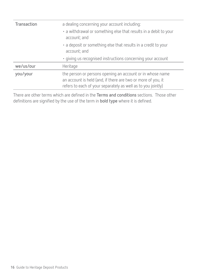| Transaction | a dealing concerning your account including:                                                                                                                                              |
|-------------|-------------------------------------------------------------------------------------------------------------------------------------------------------------------------------------------|
|             | · a withdrawal or something else that results in a debit to your<br>account; and                                                                                                          |
|             | • a deposit or something else that results in a credit to your<br>account; and                                                                                                            |
|             | · giving us recognised instructions concerning your account                                                                                                                               |
| we/us/our   | Heritage                                                                                                                                                                                  |
| you/your    | the person or persons opening an account or in whose name<br>an account is held (and, if there are two or more of you, it<br>refers to each of your separately as well as to you jointly) |
|             |                                                                                                                                                                                           |

There are other terms which are defined in the **Terms and conditions** sections. Those other definitions are signified by the use of the term in **bold type** where it is defined.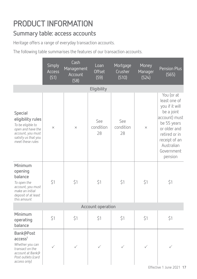## **PRODUCT INFORMATION**

## **Summary table: access accounts**

Heritage offers a range of everyday transaction accounts.

The following table summarises the features of our transaction accounts.

|                                                                                                                                        | Simply<br><b>Access</b><br>(S1) | Cash<br>Management<br>Account<br>(S8) | Loan<br><b>Offset</b><br>(S9) | Mortgage<br>Crusher<br>(S10) | Money<br>Manager<br>(S24) | <b>Pension Plus</b><br>(S65)                                                                                                                                                        |
|----------------------------------------------------------------------------------------------------------------------------------------|---------------------------------|---------------------------------------|-------------------------------|------------------------------|---------------------------|-------------------------------------------------------------------------------------------------------------------------------------------------------------------------------------|
|                                                                                                                                        |                                 |                                       | Eligibility                   |                              |                           |                                                                                                                                                                                     |
| Special<br>eligibility rules<br>To be eligible to<br>open and have the<br>account, you must<br>satisfy us that you<br>meet these rules | $\times$                        | $\times$                              | See<br>condition<br>28        | See<br>condition<br>28       | $\times$                  | You (or at<br>least one of<br>you if it will<br>be a joint<br>account) must<br>be 55 years<br>or older and<br>retired or in<br>receipt of an<br>Australian<br>Government<br>pension |
| Minimum<br>opening<br>balance<br>To open the<br>account, you must<br>make an initial<br>deposit of at least<br>this amount             | \$1                             | \$1                                   | \$1                           | \$1                          | \$1                       | \$1                                                                                                                                                                                 |
|                                                                                                                                        |                                 |                                       | Account operation             |                              |                           |                                                                                                                                                                                     |
| Minimum<br>operating<br>balance                                                                                                        | \$1                             | \$1                                   | \$1                           | \$1                          | \$1                       | \$1                                                                                                                                                                                 |
| Bank@Post<br>access <sup>1</sup><br>Whether you can<br>transact on the<br>account at Bank@<br>Post outlets (card<br>access only)       |                                 |                                       |                               |                              |                           |                                                                                                                                                                                     |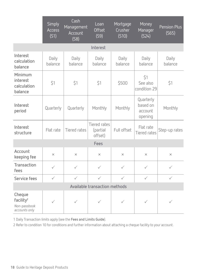|                                                                  | Simply<br><b>Access</b><br>(S1) | Cash<br>Management<br>Account<br>(S8) | Loan<br><b>Offset</b><br>(S9)       | Mortgage<br>Crusher<br>(S10) | Money<br>Manager<br>(S24)                   | <b>Pension Plus</b><br>(S65) |
|------------------------------------------------------------------|---------------------------------|---------------------------------------|-------------------------------------|------------------------------|---------------------------------------------|------------------------------|
|                                                                  |                                 |                                       | Interest                            |                              |                                             |                              |
| Interest<br>calculation<br>balance                               | Daily<br>balance                | Daily<br>halance                      | Daily<br>halance                    | Daily<br>balance             | Daily<br>balance                            | Daily<br>balance             |
| Minimum<br>interest<br>calculation<br>balance                    | \$1                             | \$1                                   | \$1                                 | \$500                        | \$1<br>See also<br>condition 29             | \$1                          |
| Interest<br>period                                               | Quarterly                       | Quarterly                             | Monthly                             | Monthly                      | Quarterly<br>based on<br>account<br>opening | Monthly                      |
| Interest<br>structure                                            | Flat rate                       | Tiered rates                          | Tiered rates<br>(partial<br>offset) | Full offset                  | Flat rate<br>Tiered rates                   | Step-up rates                |
|                                                                  |                                 |                                       | Fees                                |                              |                                             |                              |
| Account<br>keeping fee                                           | $\times$                        | $\times$                              | $\times$                            | $\times$                     | $\times$                                    | $\times$                     |
| Transaction<br>fees                                              | $\checkmark$                    | $\checkmark$                          | ✓                                   | $\checkmark$                 | ✓                                           | $\checkmark$                 |
| Service fees                                                     | $\checkmark$                    | $\checkmark$                          | $\checkmark$                        | $\checkmark$                 | $\checkmark$                                | $\checkmark$                 |
|                                                                  |                                 |                                       | Available transaction methods       |                              |                                             |                              |
| Cheque<br>facility <sup>2</sup><br>Non-passbook<br>accounts only | ✓                               | ✓                                     | ✓                                   | ✓                            | ✓                                           | $\checkmark$                 |

1 Daily Transaction limits apply (see the **Fees and Limits Guide**).

2 Refer to condition 10 for conditions and further information about attaching a cheque facility to your account.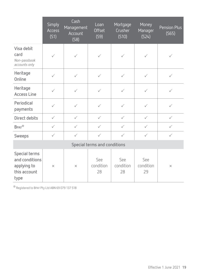|                                                                        | Simply<br><b>Access</b><br>(S1) | Cash<br>Management<br>Account<br>(S8) | Loan<br><b>Offset</b><br>(S9) | Mortgage<br>Crusher<br>(S10) | Money<br>Manager<br>(S24) | <b>Pension Plus</b><br>(S65) |
|------------------------------------------------------------------------|---------------------------------|---------------------------------------|-------------------------------|------------------------------|---------------------------|------------------------------|
| Visa debit<br>card<br>Non-passbook<br>accounts only                    | $\checkmark$                    | $\checkmark$                          | $\checkmark$                  | $\checkmark$                 | $\checkmark$              | $\checkmark$                 |
| Heritage<br>Online                                                     | $\checkmark$                    | $\checkmark$                          | $\checkmark$                  | $\checkmark$                 | $\checkmark$              | $\checkmark$                 |
| Heritage<br><b>Access Line</b>                                         | $\checkmark$                    | $\checkmark$                          | $\checkmark$                  | $\checkmark$                 | $\checkmark$              | $\checkmark$                 |
| Periodical<br>payments                                                 | ✓                               | $\checkmark$                          | $\checkmark$                  | $\checkmark$                 | $\checkmark$              | $\checkmark$                 |
| Direct debits                                                          | $\checkmark$                    | $\checkmark$                          | $\checkmark$                  | $\checkmark$                 | $\checkmark$              | $\checkmark$                 |
| <b>BPAY®</b>                                                           | $\checkmark$                    | $\checkmark$                          | $\checkmark$                  | $\checkmark$                 | $\checkmark$              | $\checkmark$                 |
| Sweeps                                                                 | $\checkmark$                    | $\checkmark$                          | $\checkmark$                  | $\checkmark$                 | $\checkmark$              | $\checkmark$                 |
|                                                                        |                                 |                                       | Special terms and conditions  |                              |                           |                              |
| Special terms<br>and conditions<br>applying to<br>this account<br>type | $\times$                        | $\times$                              | See<br>condition<br>28        | See<br>condition<br>28       | See<br>condition<br>29    | $\times$                     |

® Registered to BPAY Pty Ltd ABN 69 079 137 518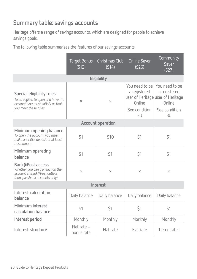## **Summary table: savings accounts**

Heritage offers a range of savings accounts, which are designed for people to achieve savings goals.

The following table summarises the features of our savings accounts.

|                                                                                                                               | Target Bonus<br>(S12)       | Christmas Club<br>(S14) | <b>Online Saver</b><br>(S26)                                    | Community<br>Saver<br>(S27)                                                                          |  |  |
|-------------------------------------------------------------------------------------------------------------------------------|-----------------------------|-------------------------|-----------------------------------------------------------------|------------------------------------------------------------------------------------------------------|--|--|
|                                                                                                                               |                             | Eligibility             |                                                                 |                                                                                                      |  |  |
| Special eligibility rules<br>To be eligible to open and have the<br>account, you must satisfy us that<br>you meet these rules | $\times$                    | $\times$                | You need to be<br>a registered<br>Online<br>See condition<br>30 | You need to be<br>a registered<br>user of Heritage user of Heritage<br>Online<br>See condition<br>30 |  |  |
| Account operation                                                                                                             |                             |                         |                                                                 |                                                                                                      |  |  |
| Minimum opening balance<br>To open the account, you must<br>make an initial deposit of at least<br>this amount                | \$1                         | \$10                    | \$1                                                             | \$1                                                                                                  |  |  |
| Minimum operating<br>balance                                                                                                  | \$1                         | \$1                     | \$1                                                             | \$1                                                                                                  |  |  |
| Bank@Post access<br>Whether you can transact on the<br>account at Bank@Post outlets<br>(non-passbook accounts only)           | $\times$                    | $\times$                | $\times$                                                        | $\times$                                                                                             |  |  |
|                                                                                                                               |                             | Interest                |                                                                 |                                                                                                      |  |  |
| Interest calculation<br>balance                                                                                               | Daily balance               | Daily balance           | Daily balance                                                   | Daily balance                                                                                        |  |  |
| Minimum interest<br>calculation balance                                                                                       | \$1                         | \$1                     | \$1                                                             | \$1                                                                                                  |  |  |
| Interest period                                                                                                               | Monthly                     | Monthly                 | Monthly                                                         | Monthly                                                                                              |  |  |
| Interest structure                                                                                                            | Flat rate $+$<br>bonus rate | Flat rate               | Flat rate                                                       | Tiered rates                                                                                         |  |  |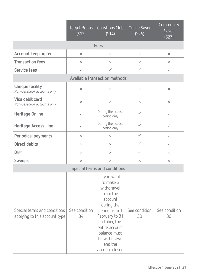|                                                               | Target Bonus<br>(S12) | Christmas Club<br>(S14)                                                                                                                                                                                       | <b>Online Saver</b><br>(S26) | Community<br>Saver<br>(S27) |
|---------------------------------------------------------------|-----------------------|---------------------------------------------------------------------------------------------------------------------------------------------------------------------------------------------------------------|------------------------------|-----------------------------|
|                                                               |                       | Fees                                                                                                                                                                                                          |                              |                             |
| Account keeping fee                                           | $\times$              | $\times$                                                                                                                                                                                                      | $\times$                     | $\times$                    |
| <b>Transaction fees</b>                                       | $\times$              | $\times$                                                                                                                                                                                                      | $\times$                     | $\times$                    |
| Service fees                                                  | $\checkmark$          | $\checkmark$                                                                                                                                                                                                  | ✓                            | ✓                           |
|                                                               |                       | Available transaction methods                                                                                                                                                                                 |                              |                             |
| Cheque facility<br>Non-passbook accounts only                 | $\times$              | $\times$                                                                                                                                                                                                      | $\times$                     | $\times$                    |
| Visa debit card<br>Non-passbook accounts only                 | $\times$              | $\times$                                                                                                                                                                                                      | $\times$                     | $\times$                    |
| Heritage Online                                               | $\checkmark$          | During the access<br>period only                                                                                                                                                                              | $\checkmark$                 | $\checkmark$                |
| Heritage Access Line                                          | $\checkmark$          | During the access<br>period only                                                                                                                                                                              | $\checkmark$                 | $\checkmark$                |
| Periodical payments                                           | $\times$              | $\times$                                                                                                                                                                                                      | $\checkmark$                 | ✓                           |
| Direct debits                                                 | $\times$              | $\times$                                                                                                                                                                                                      | $\checkmark$                 | ✓                           |
| <b>BPAY</b>                                                   | $\times$              | $\times$                                                                                                                                                                                                      | $\checkmark$                 | $\times$                    |
| Sweeps                                                        | $\times$              | $\times$                                                                                                                                                                                                      | $\times$                     | $\times$                    |
|                                                               |                       | Special terms and conditions                                                                                                                                                                                  |                              |                             |
| Special terms and conditions<br>applying to this account type | See condition<br>34   | If you want<br>to make a<br>withdrawal<br>from the<br>account<br>during the<br>period from 1<br>February to 31<br>October, the<br>entire account<br>balance must<br>be withdrawn<br>and the<br>account closed | See condition<br>30          | See condition<br>30         |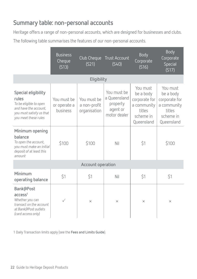## **Summary table: non-personal accounts**

Heritage offers a range of non-personal accounts, which are designed for businesses and clubs.

The following table summarises the features of our non-personal accounts.

|                                                                                                                                     | <b>Business</b><br>Cheque<br>(S13)      | Club Cheque<br>(S21)                        | <b>Trust Account</b><br>(S40)                                       | <b>Body</b><br>Corporate<br>(S16)                                                          | <b>Body</b><br>Corporate<br>Special<br>(S17)                                               |
|-------------------------------------------------------------------------------------------------------------------------------------|-----------------------------------------|---------------------------------------------|---------------------------------------------------------------------|--------------------------------------------------------------------------------------------|--------------------------------------------------------------------------------------------|
|                                                                                                                                     |                                         | Eligibility                                 |                                                                     |                                                                                            |                                                                                            |
| Special eligibility<br>rules<br>To be eligible to open<br>and have the account.<br>you must satisfy us that<br>you meet these rules | You must be<br>or operate a<br>business | You must be<br>a non-profit<br>organisation | You must be<br>a Oueensland<br>property<br>agent or<br>motor dealer | You must<br>be a body<br>corporate for<br>a community<br>titles<br>scheme in<br>Oueensland | You must<br>be a body<br>corporate for<br>a community<br>titles<br>scheme in<br>Queensland |
| Minimum opening<br>balance<br>To open the account,<br>you must make an initial<br>deposit of at least this<br>amount                | \$100                                   | \$100                                       | Nil                                                                 | \$1                                                                                        | \$100                                                                                      |
|                                                                                                                                     |                                         | Account operation                           |                                                                     |                                                                                            |                                                                                            |
| Minimum<br>operating balance                                                                                                        | \$1                                     | \$1                                         | Nil                                                                 | \$1                                                                                        | \$1                                                                                        |
| Bank@Post<br>access <sup>1</sup><br>Whether you can<br>transact on the account<br>at Bank@Post outlets<br>(card access only)        | $\checkmark$                            | $\times$                                    | $\times$                                                            | $\times$                                                                                   | $\times$                                                                                   |

1 Daily Transaction limits apply (see the **Fees and Limits Guide**).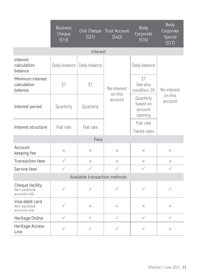|                                                  | <b>Business</b><br>Cheque<br>(S13) | (521)                         | Club Cheque Trust Account<br>(S40) | <b>Body</b><br>Corporate<br>(S16)           | <b>Body</b><br>Corporate<br>Special<br>(S17) |  |
|--------------------------------------------------|------------------------------------|-------------------------------|------------------------------------|---------------------------------------------|----------------------------------------------|--|
|                                                  |                                    | Interest                      |                                    |                                             |                                              |  |
| Interest<br>calculation<br>balance               | Daily balance                      | Daily balance                 |                                    | Daily balance                               |                                              |  |
| Minimum interest<br>calculation<br>balance       | \$1                                | \$1                           | No interest<br>on this             | \$1<br>See also<br>condition 29             | No interest                                  |  |
| Interest period                                  | Quarterly                          | Quarterly                     | account                            | Quarterly<br>based on<br>account<br>opening | on this<br>account                           |  |
| Interest structure                               | Flat rate                          | Flat rate                     |                                    | Flat rate<br>Tiered rates                   |                                              |  |
|                                                  |                                    | Fees                          |                                    |                                             |                                              |  |
| Account<br>keeping fee                           | $\times$                           | $\times$                      | $\times$                           | $\times$                                    | $\times$                                     |  |
| <b>Transaction fees</b>                          | $\checkmark$                       | $\times$                      | $\times$                           | $\times$                                    | $\times$                                     |  |
| Service fees                                     | $\checkmark$                       | $\checkmark$                  | $\checkmark$                       | ✓                                           | $\checkmark$                                 |  |
|                                                  |                                    | Available transaction methods |                                    |                                             |                                              |  |
| Cheque facility<br>Non-passbook<br>accounts only | $\checkmark$                       | $\checkmark$                  | ✓                                  | $\checkmark$                                | $\checkmark$                                 |  |
| Visa debit card<br>Non-passbook<br>accounts only | $\checkmark$                       | $\times$                      | $\times$                           | $\times$                                    | $\times$                                     |  |
| Heritage Online                                  | $\checkmark$                       | $\checkmark$                  | $\checkmark$                       | $\checkmark$                                | $\checkmark$                                 |  |
| <b>Heritage Access</b><br>Line                   | $\checkmark$                       | $\checkmark$                  | $\checkmark$                       | $\checkmark$                                | $\times$                                     |  |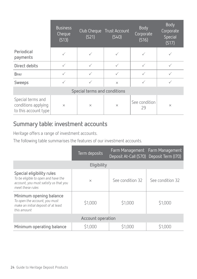|                                                                  | <b>Business</b><br>Cheque<br>(S13) | (S21)    | Club Cheque Trust Account<br>(S40) | Body<br>Corporate<br>(S16) | Body<br>Corporate<br>Special<br>(S17) |
|------------------------------------------------------------------|------------------------------------|----------|------------------------------------|----------------------------|---------------------------------------|
| Periodical<br>payments                                           |                                    |          |                                    | $\checkmark$               |                                       |
| Direct debits                                                    | ✓                                  |          |                                    | $\checkmark$               |                                       |
| <b>BPAY</b>                                                      | ✓                                  |          | ✓                                  | ✓                          | ✓                                     |
| Sweeps                                                           | ✓                                  |          | $\times$                           | $\checkmark$               |                                       |
| Special terms and conditions                                     |                                    |          |                                    |                            |                                       |
| Special terms and<br>conditions applying<br>to this account type | $\times$                           | $\times$ | $\times$                           | See condition<br>29        | $\times$                              |

## **Summary table: investment accounts**

Heritage offers a range of investment accounts.

The following table summarises the features of our investment accounts.

|                                                                                                                               | Term deposits      | Farm Management Farm Management<br>Deposit At-Call (S70) Deposit Term (I70) |                  |  |  |
|-------------------------------------------------------------------------------------------------------------------------------|--------------------|-----------------------------------------------------------------------------|------------------|--|--|
|                                                                                                                               | <b>Eligibility</b> |                                                                             |                  |  |  |
| Special eligibility rules<br>To be eligible to open and have the<br>account, you must satisfy us that you<br>meet these rules | $\times$           | See condition 32                                                            | See condition 32 |  |  |
| Minimum opening balance<br>To open the account, you must<br>make an initial deposit of at least<br>this amount                | \$1,000            | \$1,000                                                                     | \$1,000          |  |  |
| Account operation                                                                                                             |                    |                                                                             |                  |  |  |
| Minimum operating balance                                                                                                     | \$1,000            | \$1,000                                                                     | \$1.000          |  |  |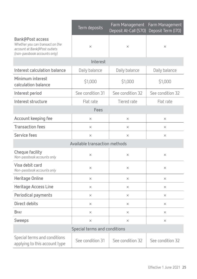|                                                                                                                     | Term deposits                 | Farm Management<br>Deposit At-Call (S70) | Farm Management<br>Deposit Term (170) |
|---------------------------------------------------------------------------------------------------------------------|-------------------------------|------------------------------------------|---------------------------------------|
| Bank@Post access<br>Whether you can transact on the<br>account at Bank@Post outlets<br>(non-passbook accounts only) | $\times$                      | $\times$                                 | $\times$                              |
|                                                                                                                     | Interest                      |                                          |                                       |
| Interest calculation balance                                                                                        | Daily balance                 | Daily balance                            | Daily balance                         |
| Minimum interest<br>calculation balance                                                                             | \$1,000                       | \$1,000                                  | \$1,000                               |
| Interest period                                                                                                     | See condition 31              | See condition 32                         | See condition 32                      |
| Interest structure                                                                                                  | Flat rate                     | Tiered rate                              | Flat rate                             |
|                                                                                                                     | Fees                          |                                          |                                       |
| Account keeping fee                                                                                                 | $\times$                      | $\times$                                 | $\times$                              |
| <b>Transaction fees</b>                                                                                             | $\times$                      | $\times$                                 | $\times$                              |
| Service fees                                                                                                        | $\times$                      | $\times$                                 | $\times$                              |
|                                                                                                                     | Available transaction methods |                                          |                                       |
| Cheque facility<br>Non-passbook accounts only                                                                       | $\times$                      | $\times$                                 | $\times$                              |
| Visa debit card<br>Non-passbook accounts only                                                                       | $\times$                      | $\times$                                 | $\times$                              |
| Heritage Online                                                                                                     | $\times$                      | $\times$                                 | $\times$                              |
| Heritage Access Line                                                                                                | $\times$                      | $\times$                                 | $\times$                              |
| Periodical payments                                                                                                 | $\times$                      | $\times$                                 | $\times$                              |
| Direct debits                                                                                                       | $\times$                      | $\times$                                 | $\times$                              |
| <b>BPAY</b>                                                                                                         | $\times$                      | $\times$                                 | $\times$                              |
| Sweeps                                                                                                              | $\times$                      | $\times$                                 | $\times$                              |
|                                                                                                                     | Special terms and conditions  |                                          |                                       |
| Special terms and conditions<br>applying to this account type                                                       | See condition 31              | See condition 32                         | See condition 32                      |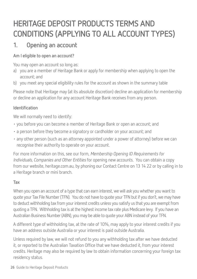## **HERITAGE DEPOSIT PRODUCTS TERMS AND CONDITIONS (APPLYING TO ALL ACCOUNT TYPES)**

## **1. Opening an account**

#### **Am I eligible to open an account?**

You may open an account so long as:

- a) you are a member of Heritage Bank or apply for membership when applying to open the account; and
- b) you meet any special eligibility rules for the account as shown in the summary table

Please note that Heritage may (at its absolute discretion) decline an application for membership or decline an application for any account Heritage Bank receives from any person.

#### **Identification**

We will normally need to identify:

- you before you can become a member of Heritage Bank or open an account; and
- a person before they become a signatory or cardholder on your account; and
- any other person (such as an attorney appointed under a power of attorney) before we can recognise their authority to operate on your account.

For more information on this, see our form, Membership Opening ID Requirements for Individuals, Companies and Other Entities for opening new accounts. You can obtain a copy from our website, heritage.com.au, by phoning our Contact Centre on 13 14 22 or by calling in to a Heritage branch or mini branch.

#### **Tax**

When you open an account of a type that can earn interest, we will ask you whether you want to quote your Tax File Number (TFN). You do not have to quote your TFN but if you don't, we may have to deduct withholding tax from your interest credits unless you satisfy us that you are exempt from quoting a TFN. Withholding tax is at the highest income tax rate plus Medicare levy. If you have an Australian Business Number (ABN), you may be able to quote your ABN instead of your TFN.

A different type of withholding tax, at the rate of 10%, may apply to your interest credits if you have an address outside Australia or your interest is paid outside Australia.

Unless required by law, we will not refund to you any withholding tax after we have deducted it, or reported to the Australian Taxation Office that we have deducted it, from your interest credits. Heritage may also be required by law to obtain information concerning your foreign tax residency status.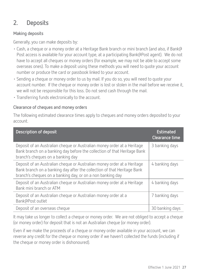## **2. Deposits**

#### **Making deposits**

Generally, you can make deposits by:

- Cash, a cheque or a money order at a Heritage Bank branch or mini branch (and also, if Bank@ Post access is available for your account type, at a participating Bank@Post agent). We do not have to accept all cheques or money orders (for example, we may not be able to accept some overseas ones). To make a deposit using these methods you will need to quote your account number or produce the card or passbook linked to your account.
- Sending a cheque or money order to us by mail. If you do so, you will need to quote your account number. If the cheque or money order is lost or stolen in the mail before we receive it, we will not be responsible for this loss. Do not send cash through the mail.
- Transferring funds electronically to the account.

#### **Clearance of cheques and money orders**

The following estimated clearance times apply to cheques and money orders deposited to your account.

| Description of deposit                                                                                                                                                                                           | <b>Estimated</b><br>Clearance time |
|------------------------------------------------------------------------------------------------------------------------------------------------------------------------------------------------------------------|------------------------------------|
| Deposit of an Australian cheque or Australian money order at a Heritage<br>Bank branch on a banking day before the collection of that Heritage Bank<br>branch's cheques on a banking day                         | 3 banking days                     |
| Deposit of an Australian cheque or Australian money order at a Heritage<br>Bank branch on a banking day after the collection of that Heritage Bank<br>branch's cheques on a banking day, or on a non banking day | 4 banking days                     |
| Deposit of an Australian cheque or Australian money order at a Heritage<br>Bank mini branch or ATM                                                                                                               | 4 banking days                     |
| Deposit of an Australian cheque or Australian money order at a<br>Bank@Post outlet                                                                                                                               | 7 banking days                     |
| Deposit of an overseas cheque                                                                                                                                                                                    | 30 banking days                    |

It may take us longer to collect a cheque or money order. We are not obliged to accept a cheque (or money order) for deposit that is not an Australian cheque (or money order).

Even if we make the proceeds of a cheque or money order available in your account, we can reverse any credit for the cheque or money order if we haven't collected the funds (including if the cheque or money order is dishonoured).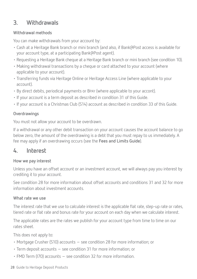### **3. Withdrawals**

#### **Withdrawal methods**

You can make withdrawals from your account by:

- Cash at a Heritage Bank branch or mini branch (and also, if Bank@Post access is available for your account type, at a participating Bank@Post agent).
- Requesting a Heritage Bank cheque at a Heritage Bank branch or mini branch (see condition 10).
- Making withdrawal transactions by a cheque or card attached to your account (where applicable to your account).
- Transferring funds via Heritage Online or Heritage Access Line (where applicable to your account).
- By direct debits, periodical payments or BPAY (where applicable to your accont).
- If your account is a term deposit as described in condition 31 of this Guide.
- If your account is a Christmas Club (S14) account as described in condition 33 of this Guide.

#### **Overdrawings**

You must not allow your account to be overdrawn.

If a withdrawal or any other debit transaction on your account causes the account balance to go below zero, the amount of the overdrawing is a debt that you must repay to us immediately. A fee may apply if an overdrawing occurs (see the **Fees and Limits Guide**).

### **4. Interest**

#### **How we pay interest**

Unless you have an offset account or an investment account, we will always pay you interest by crediting it to your account.

See condition 28 for more information about offset accounts and conditions 31 and 32 for more information about investment accounts.

#### **What rate we use**

The interest rate that we use to calculate interest is the applicable flat rate, step-up rate or rates, tiered rate or flat rate and bonus rate for your account on each day when we calculate interest.

The applicable rates are the rates we publish for your account type from time to time on our rates sheet.

This does not apply to:

- Mortgage Crusher (S10) accounts see condition 28 for more information; or
- Term deposit accounts see condition 31 for more information; or
- FMD Term (I70) accounts see condition 32 for more information.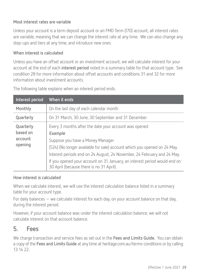#### **Most interest rates are variable**

Unless your account is a term deposit account or an FMD Term (I70) account, all interest rates are variable, meaning that we can change the interest rate at any time. We can also change any step-ups and tiers at any time, and introduce new ones.

#### **When interest is calculated**

Unless you have an offset account or an investment account, we will calculate interest for your account at the end of each **interest period** noted in a summary table for that account type. See condition 28 for more information about offset accounts and conditions 31 and 32 for more information about investment accounts.

| Interest period                             | When it ends                                                                                                                                                                                                                                                                                                                                                                         |
|---------------------------------------------|--------------------------------------------------------------------------------------------------------------------------------------------------------------------------------------------------------------------------------------------------------------------------------------------------------------------------------------------------------------------------------------|
| Monthly                                     | On the last day of each calendar month                                                                                                                                                                                                                                                                                                                                               |
| Quarterly                                   | On 31 March, 30 June, 30 September and 31 December                                                                                                                                                                                                                                                                                                                                   |
| Quarterly<br>based on<br>account<br>opening | Every 3 months after the date your account was opened<br>Example<br>Suppose you have a Money Manager<br>(S24) (No longer available for sale) account which you opened on 24 May.<br>Interest periods end on 24 August, 24 November, 24 February and 24 May.<br>If you opened your account on 31 January, an interest period would end on<br>30 April (because there is no 31 April). |

The following table explains when an interest period ends.

#### **How interest is calculated**

When we calculate interest, we will use the interest calculation balance listed in a summary table for your account type.

For daily balances – we calculate interest for each day, on your account balance on that day, during the interest period.

However, if your account balance was under the interest calculation balance, we will not calculate interest on that account balance.

### **5. Fees**

We charge transaction and service fees as set out in the **Fees and Limits Guide.** You can obtain a copy of the **Fees and Limits Guide** at any time at heritage.com.au/terms-conditions or by calling 13 14 22.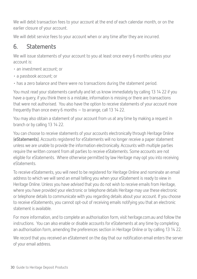We will debit transaction fees to your account at the end of each calendar month, or on the earlier closure of your account.

We will debit service fees to your account when or any time after they are incurred.

## **6. Statements**

We will issue statements of your account to you at least once every 6 months unless your account is:

- an investment account; or
- a passbook account; or
- has a zero balance and there were no transactions during the statement period.

You must read your statements carefully and let us know immediately by calling 13 14 22 if you have a query, if you think there is a mistake, information is missing or there are transactions that were not authorised. You also have the option to receive statements of your account more frequently than once every 6 months – to arrange, call 13 14 22.

You may also obtain a statement of your account from us at any time by making a request in branch or by calling 13 14 22.

You can choose to receive statements of your accounts electronically through Heritage Online (**eStatements**). Accounts registered for eStatements will no longer receive a paper statement unless we are unable to provide the information electronically. Accounts with multiple parties require the written consent from all parties to receive eStatements. Some accounts are not eligible for eStatements. Where otherwise permitted by law Heritage may opt you into receiving eStatements.

To receive eStatements, you will need to be registered for Heritage Online and nominate an email address to which we will send an email telling you when your eStatement is ready to view in Heritage Online. Unless you have advised that you do not wish to receive emails from Heritage, where you have provided your electronic or telephone details Heritage may use these electronic or telephone details to communicate with you regarding details about your account. If you choose to receive eStatements, you cannot opt-out of receiving emails notifying you that an electronic statement is available.

For more information, and to complete an authorisation form, visit heritage.com.au and follow the instructions. You can also enable or disable accounts for eStatements at any time by completing an authorisation form, amending the preferences section in Heritage Online or by calling 13 14 22.

We record that you received an eStatement on the day that our notification email enters the server of your email address.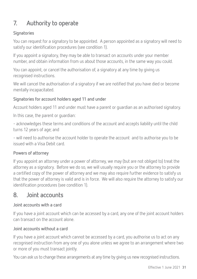## **7. Authority to operate**

#### **Signatories**

You can request for a signatory to be appointed. A person appointed as a signatory will need to satisfy our identification procedures (see condition 1).

If you appoint a signatory, they may be able to transact on accounts under your member number, and obtain information from us about those accounts, in the same way you could.

You can appoint, or cancel the authorisation of, a signatory at any time by giving us recognised instructions.

We will cancel the authorisation of a signatory if we are notified that you have died or become mentally incapacitated.

#### **Signatories for account holders aged 11 and under**

Account holders aged 11 and under must have a parent or guardian as an authorised signatory.

In this case, the parent or guardian:

- acknowledges these terms and conditions of the account and accepts liability until the child turns 12 years of age; and

- will need to authorise the account holder to operate the account and to authorise you to be issued with a Visa Debit card.

#### **Powers of attorney**

If you appoint an attorney under a power of attorney, we may (but are not obliged to) treat the attorney as a signatory. Before we do so, we will usually require you or the attorney to provide a certified copy of the power of attorney and we may also require further evidence to satisfy us that the power of attorney is valid and is in force. We will also require the attorney to satisfy our identification procedures (see condition 1).

### **8. Joint accounts**

#### **Joint accounts with a card**

If you have a joint account which can be accessed by a card, any one of the joint account holders can transact on the account alone.

#### **Joint accounts without a card**

If you have a joint account which cannot be accessed by a card, you authorise us to act on any recognised instruction from any one of you alone unless we agree to an arrangement where two or more of you must transact jointly.

You can ask us to change these arrangements at any time by giving us new recognised instructions.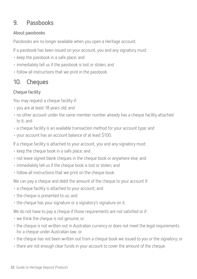## **9. Passbooks**

#### **About passbooks**

Passbooks are no longer available when you open a Heritage account.

If a passbook has been issued on your account, you and any signatory must:

- keep the passbook in a safe place; and
- immediately tell us if the passbook is lost or stolen; and
- follow all instructions that we print in the passbook.

## **10. Cheques**

#### **Cheque facility**

You may request a cheque facility if:

- you are at least 18 years old; and
- no other account under the same member number already has a cheque facility attached to it; and
- a cheque facility is an available transaction method for your account type; and
- your account has an account balance of at least \$100.

If a cheque facility is attached to your account, you and any signatory must:

- keep the cheque book in a safe place; and
- not leave signed blank cheques in the cheque book or anywhere else; and
- immediately tell us if the cheque book is lost or stolen; and
- follow all instructions that we print on the cheque book.

We can pay a cheque and debit the amount of the cheque to your account if:

- a cheque facility is attached to your account; and
- the cheque is presented to us; and
- the cheque has your signature or a signatory's signature on it.

We do not have to pay a cheque if those requirements are not satisfied or if:

- we think the cheque is not genuine; or
- the cheque is not written out in Australian currency or does not meet the legal requirements for a cheque under Australian law; or
- the cheque has not been written out from a cheque book we issued to you or the signatory; or
- there are not enough clear funds in your account to cover the amount of the cheque.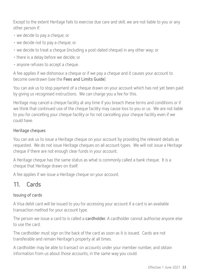Except to the extent Heritage fails to exercise due care and skill, we are not liable to you or any other person if:

- we decide to pay a cheque; or
- we decide not to pay a cheque; or
- we decide to treat a cheque (including a post-dated cheque) in any other way; or
- there is a delay before we decide; or
- anyone refuses to accept a cheque.

A fee applies if we dishonour a cheque or if we pay a cheque and it causes your account to become overdrawn (see the **Fees and Limits Guide**).

You can ask us to stop payment of a cheque drawn on your account which has not yet been paid by giving us recognised instructions. We can charge you a fee for this.

Heritage may cancel a cheque facility at any time if you breach these terms and conditions or if we think that continued use of the cheque facility may cause loss to you or us. We are not liable to you for cancelling your cheque facility or for not cancelling your cheque facility even if we could have.

#### **Heritage cheques**

You can ask us to issue a Heritage cheque on your account by providing the relevant details as requested. We do not issue Heritage cheques on all account types. We will not issue a Heritage cheque if there are not enough clear funds in your account.

A Heritage cheque has the same status as what is commonly called a bank cheque. It is a cheque that Heritage draws on itself.

A fee applies if we issue a Heritage cheque on your account.

### **11. Cards**

#### **Issuing of cards**

A Visa debit card will be issued to you for accessing your account if a card is an available transaction method for your account type.

The person we issue a card to is called a **cardholder**. A cardholder cannot authorise anyone else to use the card.

The cardholder must sign on the back of the card as soon as it is issued. Cards are not transferable and remain Heritage's property at all times.

A cardholder may be able to transact on accounts under your member number, and obtain information from us about those accounts, in the same way you could.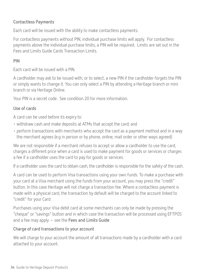#### **Contactless Payments**

Each card will be issued with the ability to make contactless payments.

For contactless payments without PIN, individual purchase limits will apply. For contactless payments above the individual purchase limits, a PIN will be required. Limits are set out in the Fees and Limits Guide Cards Transaction Limits.

#### **PIN**

Each card will be issued with a PIN.

A cardholder may ask to be issued with, or to select, a new PIN if the cardholder forgets the PIN or simply wants to change it. You can only select a PIN by attending a Heritage branch or mini branch or via Heritage Online.

Your PIN is a secret code. See condition 20 for more information.

#### **Use of cards**

A card can be used before its expiry to:

- withdraw cash and make deposits at ATMs that accept the card; and
- perform transactions with merchants who accept the card as a payment method and in a way the merchant agrees (e.g in person or by phone, online, mail order or other ways agreed)

We are not responsible if a merchant refuses to accept or allow a cardholder to use the card, charges a different price when a card is used to make payment for goods or services or charges a fee if a cardholder uses the card to pay for goods or services.

If a cardholder uses the card to obtain cash, the cardholder is responsible for the safety of the cash.

A card can be used to perform Visa transactions using your own funds. To make a purchase with your card at a Visa merchant using the funds from your account, you may press the "credit" button. In this case Heritage will not charge a transaction fee. Where a contactless payment is made with a physical card, the transaction by default will be charged to the account linked to "credit" for your Card.

Purchases using your Visa debit card at some merchants can only be made by pressing the "cheque" or "savings" button and in which case the transaction will be processed using EFTPOS and a fee may apply – see the **Fees and Limits Guide** 

#### **Charge of card transactions to your account**

We will charge to your account the amount of all transactions made by a cardholder with a card attached to your account.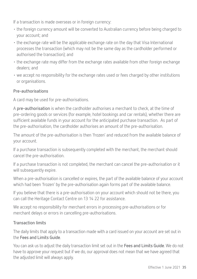If a transaction is made overseas or in foreign currency:

- the foreign currency amount will be converted to Australian currency before being charged to your account; and
- the exchange rate will be the applicable exchange rate on the day that Visa International processes the transaction (which may not be the same day as the cardholder performed or authorised the transaction); and
- the exchange rate may differ from the exchange rates available from other foreign exchange dealers; and
- we accept no responsibility for the exchange rates used or fees charged by other institutions or organisations.

#### **Pre-authorisations**

A card may be used for pre-authorisations.

A **pre-authorisation** is when the cardholder authorises a merchant to check, at the time of pre-ordering goods or services (for example, hotel bookings and car rentals), whether there are sufficient available funds in your account for the anticipated purchase transaction. As part of the pre-authorisation, the cardholder authorises an amount of the pre-authorisation.

The amount of the pre-authorisation is then 'frozen' and reduced from the available balance of your account.

If a purchase transaction is subsequently completed with the merchant, the merchant should cancel the pre-authorisation.

If a purchase transaction is not completed, the merchant can cancel the pre-authorisation or it will subsequently expire.

When a pre-authorisation is cancelled or expires, the part of the available balance of your account which had been 'frozen' by the pre-authorisation again forms part of the available balance.

If you believe that there is a pre-authorisation on your account which should not be there, you can call the Heritage Contact Centre on 13 14 22 for assistance.

We accept no responsibility for merchant errors in processing pre-authorisations or for merchant delays or errors in cancelling pre-authorisations.

#### **Transaction limits**

The daily limits that apply to a transaction made with a card issued on your account are set out in the **Fees and Limits Guide**.

You can ask us to adjust the daily transaction limit set out in the **Fees and Limits Guide**. We do not have to approve your request but if we do, our approval does not mean that we have agreed that the adjusted limit will always apply.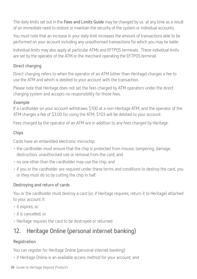The daily limits set out in the **Fees and Limits Guide** may be changed by us at any time as a result of an immediate need to restore or maintain the security of the system or individual accounts.

You must note that an increase in your daily limit increases the amount of transactions able to be performed on your account including any unauthorised transactions for which you may be liable.

Individual limits may also apply at particular ATMs and EFTPOS terminals. These individual limits are set by the operator of the ATM or the merchant operating the EFTPOS terminal.

#### **Direct charging**

Direct charging refers to when the operator of an ATM (other than Heritage) charges a fee to use the ATM and which is debited to your account with the transaction.

Please note that Heritage does not set the fees charged by ATM operators under the direct charging system and accepts no responsibility for those fees.

#### **Example**

If a cardholder on your account withdraws \$100 at a non-Heritage ATM, and the operator of the ATM charges a fee of \$3.00 for using the ATM, \$103 will be debited to your account.

Fees charged by the operator of an ATM are in addition to any fees charged by Heritage.

#### **Chips**

Cards have an embedded electronic microchip:

- the cardholder must ensure that the chip is protected from misuse, tampering, damage, destruction, unauthorised use or removal from the card; and
- no one other than the cardholder may use the chip; and
- if you or the cardholder are required under these terms and conditions to destroy the card, you or they must do so by cutting the chip in half.

#### **Destroying and return of cards**

You or the cardholder must destroy a card (or, if Heritage requires, return it to Heritage) attached to your account if:

- it expires; or
- it is cancelled; or
- Heritage requires the card to be destroyed or returned.

## **12. Heritage Online (personal internet banking)**

#### **Registration**

You can register for Heritage Online (personal internet banking):

• if Heritage Online is an available access method for your account; and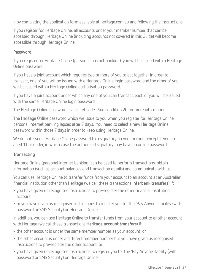• by completing the application form available at heritage.com.au and following the instructions.

If you register for Heritage Online, all accounts under your member number that can be accessed through Heritage Online (including accounts not covered in this Guide) will become accessible through Heritage Online.

#### **Password**

If you register for Heritage Online (personal internet banking), you will be issued with a Heritage Online password.

If you have a joint account which requires two or more of you to act together in order to transact, one of you will be issued with a Heritage Online login password and the other of you will be issued with a Heritage Online authorisation password.

If you have a joint account under which any one of you can transact, each of you will be issued with the same Heritage Online login password.

The Heritage Online password is a secret code. See condition 20 for more information.

The Heritage Online password which we issue to you when you register for Heritage Online personal internet banking lapses after 7 days. You need to select a new Heritage Online password within those 7 days in order to keep using Heritage Online.

We do not issue a Heritage Online password to a signatory on your account except if you are aged 11 or under, in which case the authorised signatory may have an online password.

### **Transacting**

Heritage Online (personal internet banking) can be used to perform transactions, obtain information (such as account balances and transaction details) and communicate with us.

You can use Heritage Online to transfer funds from your account to an account at an Australian financial institution other than Heritage (we call these transactions **Interbank transfers**) if:

- you have given us recognised instructions to pre-register the other financial institution account
- or you have given us recognised instructions to register you for the 'Pay Anyone' facility (with password or SMS Security) on Heritage Online.

In addition, you can use Heritage Online to transfer funds from your account to another account with Heritage (we call these transactions **Heritage account transfers**) if:

- the other account is under the same member number as your account; or
- the other account is under a different member number but you have given us recognised instructions to pre-register the other account; or
- you have given us recognised instructions to register you for the 'Pay Anyone' facility (with password or SMS Security) on Heritage Online.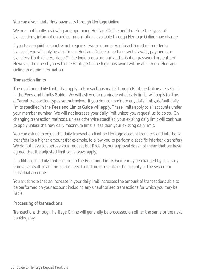You can also initiate BPAY payments through Heritage Online.

We are continually reviewing and upgrading Heritage Online and therefore the types of transactions, information and communications available through Heritage Online may change.

If you have a joint account which requires two or more of you to act together in order to transact, you will only be able to use Heritage Online to perform withdrawals, payments or transfers if both the Heritage Online login password and authorisation password are entered. However, the one of you with the Heritage Online login password will be able to use Heritage Online to obtain information.

# **Transaction limits**

The maximum daily limits that apply to transactions made through Heritage Online are set out in the **Fees and Limits Guide**. We will ask you to nominate what daily limits will apply for the different transaction types set out below. If you do not nominate any daily limits, default daily limits specified in the **Fees and Limits Guide** will apply. These limits apply to all accounts under your member number. We will not increase your daily limit unless you request us to do so. On changing transaction methods, unless otherwise specified, your existing daily limit will continue to apply unless the new daily maximum limit is less than your existing daily limit.

You can ask us to adjust the daily transaction limit on Heritage account transfers and interbank transfers to a higher amount (for example, to allow you to perform a specific interbank transfer). We do not have to approve your request but if we do, our approval does not mean that we have agreed that the adjusted limit will always apply.

In addition, the daily limits set out in the **Fees and Limits Guide** may be changed by us at any time as a result of an immediate need to restore or maintain the security of the system or individual accounts.

You must note that an increase in your daily limit increases the amount of transactions able to be performed on your account including any unauthorised transactions for which you may be liable.

# **Processing of transactions**

Transactions through Heritage Online will generally be processed on either the same or the next banking day.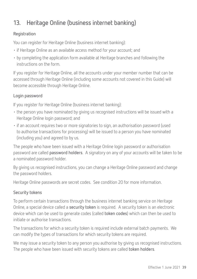# **13. Heritage Online (business internet banking)**

# **Registration**

You can register for Heritage Online (business internet banking):

- if Heritage Online as an available access method for your account; and
- by completing the application form available at Heritage branches and following the instructions on the form.

If you register for Heritage Online, all the accounts under your member number that can be accessed through Heritage Online (including some accounts not covered in this Guide) will become accessible through Heritage Online.

# **Login password**

If you register for Heritage Online (business internet banking):

- the person you have nominated by giving us recognised instructions will be issued with a Heritage Online login password; and
- if an account requires two or more signatories to sign, an authorisation password (used to authorise transactions for processing) will be issued to a person you have nominated (including you) and agreed to by us.

The people who have been issued with a Heritage Online login password or authorisation password are called **password holders**. A signatory on any of your accounts will be taken to be a nominated password holder.

By giving us recognised instructions, you can change a Heritage Online password and change the password holders.

Heritage Online passwords are secret codes. See condition 20 for more information.

# **Security tokens**

To perform certain transactions through the business internet banking service on Heritage Online, a special device called a **security token** is required. A security token is an electronic device which can be used to generate codes (called **token codes**) which can then be used to initiate or authorise transactions.

The transactions for which a security token is required include external batch payments. We can modify the types of transactions for which security tokens are required.

We may issue a security token to any person you authorise by giving us recognised instructions. The people who have been issued with security tokens are called **token holders**.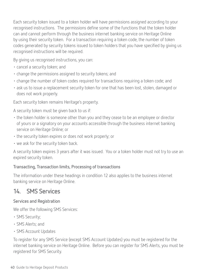Each security token issued to a token holder will have permissions assigned according to your recognised instructions. The permissions define some of the functions that the token holder can and cannot perform through the business internet banking service on Heritage Online by using their security token. For a transaction requiring a token code, the number of token codes generated by security tokens issued to token holders that you have specified by giving us recognised instructions will be required.

By giving us recognised instructions, you can:

- cancel a security token; and
- change the permissions assigned to security tokens; and
- change the number of token codes required for transactions requiring a token code; and
- ask us to issue a replacement security token for one that has been lost, stolen, damaged or does not work properly.

Each security token remains Heritage's property.

A security token must be given back to us if:

- the token holder is someone other than you and they cease to be an employee or director of yours or a signatory on your accounts accessible through the business internet banking service on Heritage Online; or
- the security token expires or does not work properly; or
- we ask for the security token back.

A security token expires 3 years after it was issued. You or a token holder must not try to use an expired security token.

# **Transacting, Transaction limits, Processing of transactions**

The information under these headings in condition 12 also applies to the business internet banking service on Heritage Online.

# **14. SMS Services**

# **Services and Registration**

We offer the following SMS Services:

- SMS Security;
- SMS Alerts; and
- SMS Account Updates

To register for any SMS Service (except SMS Account Updates) you must be registered for the internet banking service on Heritage Online. Before you can register for SMS Alerts, you must be registered for SMS Security.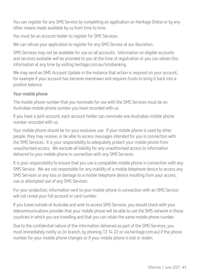You can register for any SMS Service by completing an application on Heritage Online or by any other means made available by us from time to time.

You must be an account holder to register for SMS Services.

We can refuse your application to register for any SMS Service at our discretion.

SMS Services may not be available for use on all accounts. Information on eligible accounts and services available will be provided to you at the time of registration or you can obtain this information at any time by visiting heritage.com.au/smsbanking

We may send an SMS Account Update in the instance that action is required on your account. for example if your account has become overdrawn and requires funds to bring it back into a positive balance.

# **Your mobile phone**

The mobile phone number that you nominate for use with the SMS Services must be an Australian mobile phone number you have recorded with us.

If you have a joint account, each account holder can nominate one Australian mobile phone number recorded with us.

Your mobile phone should be for your exclusive use. If your mobile phone is used by other people, they may receive, or be able to access messages intended for you in connection with the SMS Services. It is your responsibility to adequately protect your mobile phone from unauthorised access. We exclude all liability for any unauthorised access to information delivered to your mobile phone in connection with any SMS Services.

It is your responsibility to ensure that you use a compatible mobile phone in connection with any SMS Service. We are not responsible for any inability of a mobile telephone device to access any SMS Services or any loss or damage to a mobile telephone device resulting from your access, use or attempted use of any SMS Services.

For your protection, information sent to your mobile phone in connection with an SMS Service will not reveal your full account or card number.

If you travel outside of Australia and wish to access SMS Services, you should check with your telecommunications provider that your mobile phone will be able to use the SMS network in those countries in which you are travelling and that you can retain the same mobile phone number.

Due to the confidential nature of the information delivered as part of the SMS Services, you must immediately notify us (in branch, by phoning 13 14 22 or via heritage.com.au) if the phone number for your mobile phone changes or if your mobile phone is lost or stolen.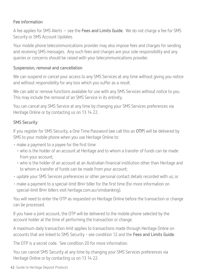# **Fee information**

A fee applies for SMS Alerts – see the **Fees and Limits Guide**. We do not charge a fee for SMS Security or SMS Account Updates.

Your mobile phone telecommunications provider may also impose fees and charges for sending and receiving SMS messages. Any such fees and charges are your sole responsibility and any queries or concerns should be raised with your telecommunications provider.

### **Suspension, removal and cancellation**

We can suspend or cancel your access to any SMS Services at any time without giving you notice and without responsibility for any loss which you suffer as a result.

We can add or remove functions available for use with any SMS Services without notice to you. This may include the removal of an SMS Service in its entirety.

You can cancel any SMS Service at any time by changing your SMS Services preferences via Heritage Online or by contacting us on 13 14 22.

### **SMS Security**

If you register for SMS Security, a One Time Password (we call this an **OTP**) will be delivered by SMS to your mobile phone when you use Heritage Online to:

- make a payment to a payee for the first time:
	- who is the holder of an account at Heritage and to whom a transfer of funds can be made from your account;
	- who is the holder of an account at an Australian financial institution other than Heritage and to whom a transfer of funds can be made from your account;
- update your SMS Services preferences or other personal contact details recorded with us; or
- make a payment to a special-limit BPAY biller for the first time (for more information on special-limit BPAY billers visit heritage.com.au/smsbanking).

You will need to enter the OTP as requested on Heritage Online before the transaction or change can be processed.

If you have a joint account, the OTP will be delivered to the mobile phone selected by the account holder at the time of performing the transaction or change.

A maximum daily transaction limit applies to transactions made through Heritage Online on accounts that are linked to SMS Security - see condition 12 and the **Fees and Limits Guide**.

The OTP is a secret code. See condition 20 for more information.

You can cancel SMS Security at any time by changing your SMS Services preferences via Heritage Online or by contacting us on 13 14 22.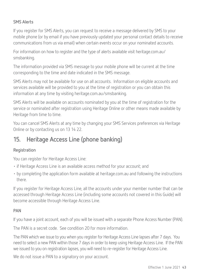# **SMS Alerts**

If you register for SMS Alerts, you can request to receive a message delivered by SMS to your mobile phone (or by email if you have previously updated your personal contact details to receive communications from us via email) when certain events occur on your nominated accounts.

For information on how to register and the type of alerts available visit heritage.com.au/ smsbanking.

The information provided via SMS message to your mobile phone will be current at the time corresponding to the time and date indicated in the SMS message.

SMS Alerts may not be available for use on all accounts. Information on eligible accounts and services available will be provided to you at the time of registration or you can obtain this information at any time by visiting heritage.com.au/smsbanking.

SMS Alerts will be available on accounts nominated by you at the time of registration for the service or nominated after registration using Heritage Online or other means made available by Heritage from time to time.

You can cancel SMS Alerts at any time by changing your SMS Services preferences via Heritage Online or by contacting us on 13 14 22.

# **15. Heritage Access Line (phone banking)**

# **Registration**

You can register for Heritage Access Line:

- if Heritage Access Line is an available access method for your account; and
- by completing the application form available at heritage.com.au and following the instructions there.

If you register for Heritage Access Line, all the accounts under your member number that can be accessed through Heritage Access Line (including some accounts not covered in this Guide) will become accessible through Heritage Access Line.

### **PAN**

If you have a joint account, each of you will be issued with a separate Phone Access Number (PAN).

The PAN is a secret code. See condition 20 for more information.

The PAN which we issue to you when you register for Heritage Access Line lapses after 7 days. You need to select a new PAN within those 7 days in order to keep using Heritage Access Line. If the PAN we issued to you on registration lapses, you will need to re-register for Heritage Access Line.

We do not issue a PAN to a signatory on your account.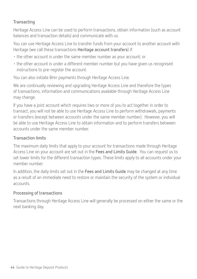# **Transacting**

Heritage Access Line can be used to perform transactions, obtain information (such as account balances and transaction details) and communicate with us.

You can use Heritage Access Line to transfer funds from your account to another account with Heritage (we call these transactions **Heritage account transfers**) if:

- the other account is under the same member number as your account; or
- the other account is under a different member number but you have given us recognised instructions to pre-register the account.

You can also initiate BPAY payments through Heritage Access Line.

We are continually reviewing and upgrading Heritage Access Line and therefore the types of transactions, information and communications available through Heritage Access Line may change.

If you have a joint account which requires two or more of you to act together in order to transact, you will not be able to use Heritage Access Line to perform withdrawals, payments or transfers (except between accounts under the same member number). However, you will be able to use Heritage Access Line to obtain information and to perform transfers between accounts under the same member number.

# **Transaction limits**

The maximum daily limits that apply to your account for transactions made through Heritage Access Line on your account are set out in the **Fees and Limits Guide**. You can request us to set lower limits for the different transaction types. These limits apply to all accounts under your member number.

In addition, the daily limits set out in the **Fees and Limits Guide** may be changed at any time as a result of an immediate need to restore or maintain the security of the system or individual accounts.

# **Processing of transactions**

Transactions through Heritage Access Line will generally be processed on either the same or the next banking day.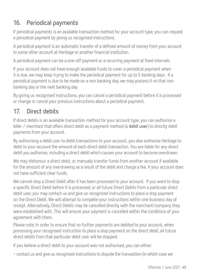# **16. Periodical payments**

If periodical payments is an available transaction method for your account type, you can request a periodical payment by giving us recognised instructions.

A periodical payment is an automatic transfer of a defined amount of money from your account to some other account at Heritage or another financial institution.

A periodical payment can be a one-off payment or a recurring payment at fixed intervals.

If your account does not have enough available funds to cover a periodical payment when it is due, we may keep trying to make the periodical payment for up to 5 banking days. If a periodical payment is due to be made on a non banking day, we may process it on that non banking day or the next banking day.

By giving us recognised instructions, you can cancel a periodical payment before it is processed or change or cancel your previous instructions about a periodical payment.

# **17. Direct debits**

If direct debits is an available transaction method for your account type, you can authorise a biller / merchant that offers direct debit as a payment method (a **debit user**) to directly debit payments from your account.

By authorising a debit user to debit transactions to your account, you also authorise Heritage to debit to your account the amount of each direct debit transaction. You are liable for any direct debit you authorise, including a direct debit which causes your account to become overdrawn.

We may dishonour a direct debit, or manually transfer funds from another account if available for the amount of any overdrawing as a result of the debit and charge a fee, if your account does not have sufficient clear funds.

We cannot stop a Direct Debit after it has been processed to your account. If you want to stop a specific Direct Debit before it is processed, or all future Direct Debits from a particular direct debit user, you may contact us and give us recognised instructions to place a stop payment on the Direct Debit. We will attempt to complete your instructions within one business day of receipt. Alternatively, Direct Debits may be cancelled directly with the merchant/company they were established with. This will ensure your payment is cancelled within the conditions of your agreement with them.

Please note: In order to ensure that no further payments are debited to your account, when processing your recognised instruction to place a stop payment on the direct debit, all future direct debits from that particular debit user will be stopped.

If you believe a direct debit to your account was not authorised, you can either:

• contact us and give us recognised instructions to dispute the transaction (in which case we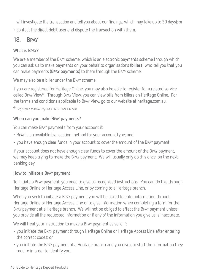will investigate the transaction and tell you about our findings, which may take up to 30 days); or

• contact the direct debit user and dispute the transaction with them.

# **18. BPAY**

# **What is BPAY?**

We are a member of the BPAY scheme, which is an electronic payments scheme through which you can ask us to make payments on your behalf to organisations (**billers**) who tell you that you can make payments (**BPAY payments**) to them through the BPAY scheme.

We may also be a biller under the BPAY scheme.

If you are registered for Heritage Online, you may also be able to register for a related service called BPAY View®. Through BPAY View, you can view bills from billers on Heritage Online. For the terms and conditions applicable to BPAY View, go to our website at heritage.com.au.

® Registered to BPAY Pty Ltd ABN 69 079 137 518

# **When can you make BPAY payments?**

You can make BPAY payments from your account if:

- BPAY is an available transaction method for your account type; and
- you have enough clear funds in your account to cover the amount of the BPAY payment.

If your account does not have enough clear funds to cover the amount of the BPAY payment, we may keep trying to make the BPAY payment. We will usually only do this once, on the next banking day.

# **How to initiate a BPAY payment**

To initiate a BPAY payment, you need to give us recognised instructions. You can do this through Heritage Online or Heritage Access Line, or by coming to a Heritage branch.

When you seek to initiate a BPAY payment, you will be asked to enter information through Heritage Online or Heritage Access Line or to give information when completing a form for the BPAY payment at a Heritage branch. We will not be obliged to effect the BPAY payment unless you provide all the requested information or if any of the information you give us is inaccurate.

We will treat your instruction to make a BPAY payment as valid if:

- you initiate the BPAY payment through Heritage Online or Heritage Access Line after entering the correct codes; or
- you initiate the BPAY payment at a Heritage branch and you give our staff the information they require in order to identify you.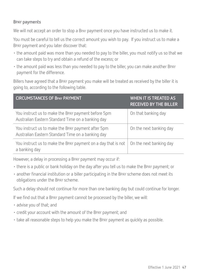### **BPAY payments**

We will not accept an order to stop a BPAY payment once you have instructed us to make it.

You must be careful to tell us the correct amount you wish to pay. If you instruct us to make a BPAY payment and you later discover that:

- the amount paid was more than you needed to pay to the biller, you must notify us so that we can take steps to try and obtain a refund of the excess; or
- the amount paid was less than you needed to pay to the biller, you can make another BPAY payment for the difference.

Billers have agreed that a BPAY payment you make will be treated as received by the biller it is going to, according to the following table.

| <b>CIRCUMSTANCES OF BPAY PAYMENT</b>                                                                     | WHEN IT IS TREATED AS<br><b>RECEIVED BY THE BILLER</b> |
|----------------------------------------------------------------------------------------------------------|--------------------------------------------------------|
| You instruct us to make the BPAY payment before 5pm<br>Australian Eastern Standard Time on a banking day | On that banking day                                    |
| You instruct us to make the BPAY payment after 5pm<br>Australian Eastern Standard Time on a banking day  | On the next banking day                                |
| You instruct us to make the BPAY payment on a day that is not<br>a banking day                           | On the next banking day                                |

However, a delay in processing a BPAY payment may occur if:

- there is a public or bank holiday on the day after you tell us to make the BPAY payment; or
- another financial institution or a biller participating in the BPAY scheme does not meet its obligations under the BPAY scheme.

Such a delay should not continue for more than one banking day but could continue for longer.

If we find out that a BPAY payment cannot be processed by the biller, we will:

- advise you of that; and
- credit your account with the amount of the BPAY payment; and
- take all reasonable steps to help you make the BPAY payment as quickly as possible.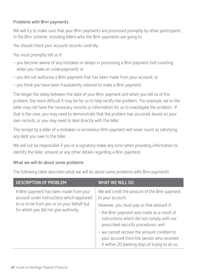# **Problems with BPAY payments**

We will try to make sure that your BPAY payments are processed promptly by other participants in the BPAY scheme, including billers who the BPAY payments are going to.

You should check your account records carefully.

You must promptly tell us if:

- you become aware of any mistakes or delays in processing a BPAY payment (not counting when you make an underpayment); or
- you did not authorise a BPAY payment that has been made from your account; or
- you think you have been fraudulently induced to make a BPAY payment.

The longer the delay between the date of your BPAY payment and when you tell us of the problem, the more difficult it may be for us to help rectify the problem. For example, we or the biller may not have the necessary records or information for us to investigate the problem. If that is the case, you may need to demonstrate that the problem has occurred, based on your own records, or you may need to deal directly with the biller.

The receipt by a biller of a mistaken or erroneous BPAY payment will never count as satisfying any debt you owe to the biller.

We will not be responsible if you or a signatory make any error when providing information to identify the biller, amount or any other details regarding a BPAY payment.

### **What we will do about some problems**

The following table describes what we will do about some problems with BPAY payments

| <b>DESCRIPTION OF PROBLEM</b>                                                                                                                                              | <b>WHAT WE WILL DO</b>                                                                                                                                                      |
|----------------------------------------------------------------------------------------------------------------------------------------------------------------------------|-----------------------------------------------------------------------------------------------------------------------------------------------------------------------------|
| A BPAY payment has been made from your<br>account under instructions which appeared<br>to us to be from you or on your behalf but<br>for which you did not give authority. | We will credit the amount of the BPAY payment<br>to your account.                                                                                                           |
|                                                                                                                                                                            | However, you must pay us that amount if:<br>• the BPAY payment was made as a result of<br>instructions which did not comply with our<br>prescribed security procedures; and |
|                                                                                                                                                                            | • we cannot recover the amount credited to<br>your account from the person who received<br>it within 20 banking days of trying to do so.                                    |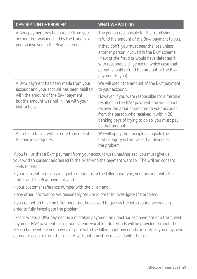| <b>DESCRIPTION OF PROBLEM</b>                                                                                                                                                           | <b>WHAT WE WILL DO</b>                                                                                                                                                                                                                                                                                                                                        |
|-----------------------------------------------------------------------------------------------------------------------------------------------------------------------------------------|---------------------------------------------------------------------------------------------------------------------------------------------------------------------------------------------------------------------------------------------------------------------------------------------------------------------------------------------------------------|
| A BPAY payment has been made from your<br>account but was induced by the fraud of a<br>person involved in the BPAY scheme.                                                              | The person responsible for the fraud should<br>refund the amount of the BPAY payment to you.<br>If they don't, you must bear the loss unless<br>another person involved in the BPAY scheme<br>knew of the fraud or would have detected it<br>with reasonable diligence (in which case that<br>person should refund the amount of the BPAY<br>payment to you). |
| A BPAY payment has been made from your<br>account and your account has been debited<br>with the amount of the BPAY payment<br>but the amount was not in line with your<br>instructions. | We will credit the amount of the BPAY payment<br>to your account.<br>However, if you were responsible for a mistake<br>resulting in the BPAY payment and we cannot<br>recover the amount credited to your account<br>from the person who received it within 20<br>banking days of trying to do so, you must pay<br>us that amount.                            |
| A problem falling within more than one of<br>the above categories.                                                                                                                      | We will apply the principle alongside the<br>first category in this table that describes<br>the problem.                                                                                                                                                                                                                                                      |

If you tell us that a BPAY payment from your account was unauthorised, you must give us your written consent addressed to the biller who the payment went to. The written consent needs to detail:

- your consent to us obtaining information from the biller about you, your account with the biller and the BPAY payment; and
- your customer reference number with the biller; and
- any other information we reasonably require in order to investigate the problem.

If you do not do this, the biller might not be allowed to give us the information we need in order to fully investigate the problem.

Except where a BPAY payment is a mistaken payment, an unauthorised payment or a fraudulent payment, BPAY payment instructions are irrevocable. No refunds will be provided through the BPAY scheme where you have a dispute with the biller about any goods or services you may have agreed to acquire from the biller. Any dispute must be resolved with the biller.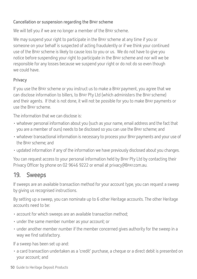# **Cancellation or suspension regarding the BPAY scheme**

We will tell you if we are no longer a member of the BPAY scheme.

We may suspend your right to participate in the BPAY scheme at any time if you or someone on your behalf is suspected of acting fraudulently or if we think your continued use of the BPAY scheme is likely to cause loss to you or us. We do not have to give you notice before suspending your right to participate in the BPAY scheme and nor will we be responsible for any losses because we suspend your right or do not do so even though we could have.

# **Privacy**

If you use the BPAY scheme or you instruct us to make a BPAY payment, you agree that we can disclose information to billers, to BPAY Pty Ltd (which administers the BPAY scheme) and their agents. If that is not done, it will not be possible for you to make BPAY payments or use the BPAY scheme.

The information that we can disclose is:

- whatever personal information about you (such as your name, email address and the fact that you are a member of ours) needs to be disclosed so you can use the BPAY scheme; and
- whatever transactional information is necessary to process your BPAY payments and your use of the BPAY scheme; and
- updated information if any of the information we have previously disclosed about you changes.

You can request access to your personal information held by BPAY Pty Ltd by contacting their Privacy Officer by phone on 02 9646 9222 or email at privacy@BPAY.com.au.

# **19. Sweeps**

If sweeps are an available transaction method for your account type, you can request a sweep by giving us recognised instructions.

By setting up a sweep, you can nominate up to 6 other Heritage accounts. The other Heritage accounts need to be:

- account for which sweeps are an available transaction method;
- under the same member number as your account; or
- under another member number if the member concerned gives authority for the sweep in a way we find satisfactory.

If a sweep has been set up and:

- a card transaction undertaken as a 'credit' purchase, a cheque or a direct debit is presented on your account; and
- **50** Guide to Heritage Deposit Products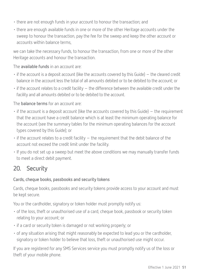- there are not enough funds in your account to honour the transaction; and
- there are enough available funds in one or more of the other Heritage accounts under the sweep to honour the transaction, pay the fee for the sweep and keep the other account or accounts within balance terms,

we can take the necessary funds, to honour the transaction, from one or more of the other Heritage accounts and honour the transaction.

The **available funds** in an account are:

- if the account is a deposit account (like the accounts covered by this Guide) the cleared credit balance in the account less the total of all amounts debited or to be debited to the account; or
- if the account relates to a credit facility the difference between the available credit under the facility and all amounts debited or to be debited to the account.

The **balance terms** for an account are:

- $\cdot$  if the account is a deposit account (like the accounts covered by this Guide)  $-$  the requirement that the account have a credit balance which is at least the minimum operating balance for the account (see the summary tables for the minimum operating balances for the account types covered by this Guide); or
- if the account relates to a credit facility the requirement that the debit balance of the account not exceed the credit limit under the facility.
- If you do not set up a sweep but meet the above conditions we may manually transfer funds to meet a direct debit payment.

# **20. Security**

# **Cards, cheque books, passbooks and security tokens**

Cards, cheque books, passbooks and security tokens provide access to your account and must be kept secure.

You or the cardholder, signatory or token holder must promptly notify us:

- of the loss, theft or unauthorised use of a card, cheque book, passbook or security token relating to your account; or
- if a card or security token is damaged or not working properly; or
- of any situation arising that might reasonably be expected to lead you or the cardholder, signatory or token holder to believe that loss, theft or unauthorised use might occur.

If you are registered for any SMS Services service you must promptly notify us of the loss or theft of your mobile phone.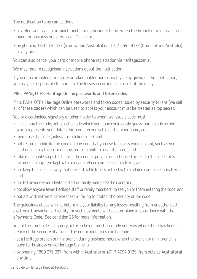The notification to us can be done:

- at a Heritage branch or mini branch during business hours when the branch or mini branch is open for business or via Heritage Online; or
- by phoning 1800 076 037 (from within Australia) or +61 7 4694 9139 (from outside Australia) at any time.

You can also cancel your card or mobile phone registration via heritage.com.au.

We may require recognised instructions about the notification.

If you or a cardholder, signatory or token holder unreasonably delay giving us the notification, you may be responsible for some of the losses occurring as a result of the delay.

# **PINs, PANs, OTPs, Heritage Online passwords and token codes**

PINs, PANs, OTPs, Heritage Online passwords and token codes issued by security tokens (we call all of these **codes**) which can be used to access your account must be treated as top secret.

You or a cardholder, signatory or token holder to whom we issue a code must:

- if selecting the code, not select a code which someone could easily guess, particularly a code which represents your date of birth or a recognisable part of your name; and
- memorise the code (unless it is a token code); and
- not record or indicate the code on any item that you use to access your account, such as your card or security token, or on any item kept with or near that item; and
- take reasonable steps to disguise the code or prevent unauthorised access to the code if it is recorded on any item kept with or near a related card or security token; and
- not keep the code in a way that makes it liable to loss or theft with a related card or security token; and
- not tell anyone (even Heritage staff or family members) the code; and
- not allow anyone (even Heritage staff or family members) to see you or them entering the code; and
- not act with extreme carelessness in failing to protect the security of the code.

The guidelines above will not determine your liability for any losses resulting from unauthorised electronic transactions. Liability for such payments will be determined in accordance with the ePayments Code. See condition 25 for more information.

You or the cardholder, signatory or token holder must promptly notify us where there has been a breach of the security of a code. The notification to us can be done:

- at a Heritage branch or mini branch during business hours when the branch or mini branch is open for business or via Heritage Online; or
- by phoning 1800 076 037 (from within Australia) or +61 7 4694 9139 (from outside Australia) at any time.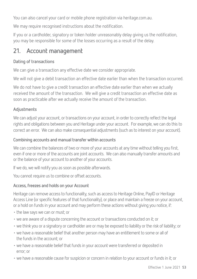You can also cancel your card or mobile phone registration via heritage.com.au.

We may require recognised instructions about the notification.

If you or a cardholder, signatory or token holder unreasonably delay giving us the notification, you may be responsible for some of the losses occurring as a result of the delay.

# **21. Account management**

# **Dating of transactions**

We can give a transaction any effective date we consider appropriate.

We will not give a debit transaction an effective date earlier than when the transaction occurred.

We do not have to give a credit transaction an effective date earlier than when we actually received the amount of the transaction. We will give a credit transaction an effective date as soon as practicable after we actually receive the amount of the transaction.

# **Adjustments**

We can adjust your account, or transactions on your account, in order to correctly reflect the legal rights and obligations between you and Heritage under your account. For example, we can do this to correct an error. We can also make consequential adjustments (such as to interest on your account).

# **Combining accounts and manual transfer within accounts**

We can combine the balances of two or more of your accounts at any time without telling you first, even if one or more of the accounts are joint accounts. We can also manually transfer amounts and or the balance of your account to another of your accounts.

If we do, we will notify you as soon as possible afterwards.

You cannot require us to combine or offset accounts.

# **Access, freezes and holds on your Account**

Heritage can remove access to functionality, such as access to Heritage Online, PayID or Heritage Access Line (or specific features of that functionality), or place and maintain a freeze on your account, or a hold on funds in your account and may perform these actions without giving you notice, if:

- the law says we can or must; or
- we are aware of a dispute concerning the account or transactions conducted on it; or
- we think you or a signatory or cardholder are or may be exposed to liability or the risk of liability; or
- we have a reasonable belief that another person may have an entitlement to some or all of the funds in the account; or
- we have a reasonable belief that funds in your account were transferred or deposited in error; or
- we have a reasonable cause for suspicion or concern in relation to your account or funds in it; or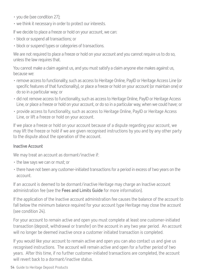- you die (see condition 27);
- we think it necessary in order to protect our interests.

If we decide to place a freeze or hold on your account, we can:

- block or suspend all transactions; or
- block or suspend types or categories of transactions.

We are not required to place a freeze or hold on your account and you cannot require us to do so, unless the law requires that.

You cannot make a claim against us, and you must satisfy a claim anyone else makes against us, because we:

- remove access to functionality, such as access to Heritage Online, PayID or Heritage Access Line (or specific features of that functionality), or place a freeze or hold on your account (or maintain one) or do so in a particular way; or
- did not remove access to functionality, such as access to Heritage Online, PayID or Heritage Access Line, or place a freeze or hold on your account, or do so in a particular way, when we could have; or
- provide access to functionality, such as access to Heritage Online, PayID or Heritage Access Line, or lift a freeze or hold on your account.

If we place a freeze or hold on your account because of a dispute regarding your account, we may lift the freeze or hold if we are given recognised instructions by you and by any other party to the dispute about the operation of the account.

### **Inactive Account**

We may treat an account as dormant/inactive if:

- the law says we can or must; or
- there have not been any customer-initiated transactions for a period in excess of two years on the account.

If an account is deemed to be dormant/inactive Heritage may charge an Inactive account administration fee (see the **Fees and Limits Guide** for more information).

If the application of the Inactive account administration fee causes the balance of the account to fall below the minimum balance required for your account type Heritage may close the account (see condition 24).

For your account to remain active and open you must complete at least one customer-initiated transaction (deposit, withdrawal or transfer) on the account in any two year period. An account will no longer be deemed inactive once a customer initiated transaction is completed.

If you would like your account to remain active and open you can also contact us and give us recognised instructions. The account will remain active and open for a further period of two years. After this time, if no further customer-initiated transactions are completed, the account will revert back to a dormant/inactive status.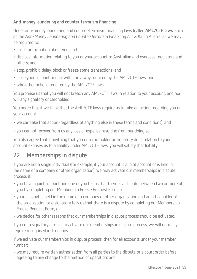# **Anti-money laundering and counter-terrorism financing**

Under anti-money laundering and counter-terrorism financing laws (called **AML/CTF laws**, such as the Anti-Money Laundering and Counter-Terrorism Financing Act 2006 in Australia), we may be required to:

- collect information about you; and
- disclose information relating to you or your account to Australian and overseas regulators and others; and
- stop, prohibit, delay, block or freeze some transactions; and
- close your account or deal with it in a way required by the AML/CTF laws; and
- take other actions required by the AML/CTF laws.

You promise us that you will not breach any AML/CTF laws in relation to your account, and nor will any signatory or cardholder.

You agree that if we think that the AML/CTF laws require us to take an action regarding you or your account:

- we can take that action (regardless of anything else in these terms and conditions); and
- you cannot recover from us any loss or expense resulting from our doing so.

You also agree that if anything that you or a cardholder or signatory do in relation to your account exposes us to a liability under AML/CTF laws, you will satisfy that liability.

# **22. Memberships in dispute**

If you are not a single individual (for example, if your account is a joint account or is held in the name of a company or other organisation), we may activate our memberships in dispute process if:

- you have a joint account and one of you tell us that there is a dispute between two or more of you by completing our Membership Freeze Request Form; or
- your account is held in the name of a company or other organisation and an officeholder of the organisation or a signatory tells us that there is a dispute by completing our Membership Freeze Request Form; or
- we decide for other reasons that our memberships in dispute process should be activated.

If you or a signatory asks us to activate our memberships in dispute process, we will normally require recognised instructions.

If we activate our memberships in dispute process, then for all accounts under your member number:

• we may require written authorisation from all parties to the dispute or a court order before agreeing to any change to the method of operation; and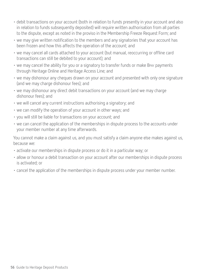- debit transactions on your account (both in relation to funds presently in your account and also in relation to funds subsequently deposited) will require written authorisation from all parties to the dispute, except as noted in the proviso in the Membership Freeze Request Form; and
- we may give written notification to the members and any signatories that your account has been frozen and how this affects the operation of the account; and
- we may cancel all cards attached to your account (but manual, reoccurring or offline card transactions can still be debited to your account); and
- we may cancel the ability for you or a signatory to transfer funds or make Bpay payments through Heritage Online and Heritage Access Line; and
- we may dishonour any cheques drawn on your account and presented with only one signature (and we may charge dishonour fees); and
- we may dishonour any direct debit transactions on your account (and we may charge dishonour fees); and
- we will cancel any current instructions authorising a signatory; and
- we can modify the operation of your account in other ways; and
- you will still be liable for transactions on your account; and
- we can cancel the application of the memberships in dispute process to the accounts under your member number at any time afterwards.

You cannot make a claim against us, and you must satisfy a claim anyone else makes against us, because we:

- activate our memberships in dispute process or do it in a particular way; or
- allow or honour a debit transaction on your account after our memberships in dispute process is activated; or
- cancel the application of the memberships in dispute process under your member number.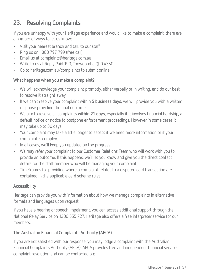# **23. Resolving Complaints**

If you are unhappy with your Heritage experience and would like to make a complaint, there are a number of ways to let us know:

- Visit your nearest branch and talk to our staff
- Ring us on 1800 797 799 (free call)
- Email us at complaints@heritage.com.au
- Write to us at Reply Paid 190, Toowoomba QLD 4350
- Go to heritage.com.au/complaints to submit online

### **What happens when you make a complaint?**

- We will acknowledge your complaint promptly, either verbally or in writing, and do our best to resolve it straight away.
- If we can't resolve your complaint within **5 business days,** we will provide you with a written response providing the final outcome.
- We aim to resolve all complaints **within 21 days,** especially if it involves financial hardship, a default notice or notice to postpone enforcement proceedings. However in some cases it may take up to 30 days.
- Your complaint may take a little longer to assess if we need more information or if your complaint is complex.
- In all cases, we'll keep you updated on the progress.
- We may refer your complaint to our Customer Relations Team who will work with you to provide an outcome. If this happens, we'll let you know and give you the direct contact details for the staff member who will be managing your complaint.
- Timeframes for providing where a complaint relates to a disputed card transaction are contained in the applicable card scheme rules.

### **Accessibility**

Heritage can provide you with information about how we manage complaints in alternative formats and languages upon request.

If you have a hearing or speech impairment, you can access additional support through the National Relay Service on 1300 555 727. Heritage also offers a free interpreter service for our members.

### **The Australian Financial Complaints Authority (AFCA)**

If you are not satisfied with our response, you may lodge a complaint with the Australian Financial Complaints Authority (AFCA). AFCA provides free and independent financial services complaint resolution and can be contacted on: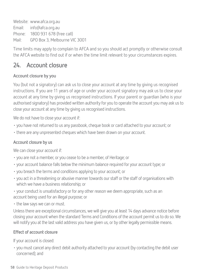```
Website: www.afca.org.au 
Email: info@afca.org.au
Phone: 1800 931 678 (free call)
Mail: GPO Box 3, Melbourne VIC 3001
```
Time limits may apply to complain to AFCA and so you should act promptly or otherwise consult the AFCA website to find out if or when the time limit relevant to your circumstances expires.

# **24. Account closure**

# **Account closure by you**

You (but not a signatory) can ask us to close your account at any time by giving us recognised instructions. If you are 11 years of age or under your account signatory may ask us to close your account at any time by giving us recognised instructions. If your parent or guardian (who is your authorised signatory) has provided written authority for you to operate the account you may ask us to close your account at any time by giving us recognised instructions.

We do not have to close your account if:

- you have not returned to us any passbook, cheque book or card attached to your account; or
- there are any unpresented cheques which have been drawn on your account.

# **Account closure by us**

We can close your account if:

- you are not a member, or you cease to be a member, of Heritage; or
- your account balance falls below the minimum balance required for your account type; or
- you breach the terms and conditions applying to your account; or
- you act in a threatening or abusive manner towards our staff or the staff of organisations with which we have a business relationship; or
- your conduct is unsatisfactory or for any other reason we deem appropriate, such as an account being used for an illegal purpose; or
- the law says we can or must.

Unless there are exceptional circumstances, we will give you at least 14 days advance notice before closing your account when the standard Terms and Conditions of the account permit us to do so. We will notify you at the last valid address you have given us, or by other legally permissible means.

# **Effect of account closure**

If your account is closed:

• you must cancel any direct debit authority attached to your account (by contacting the debit user concerned); and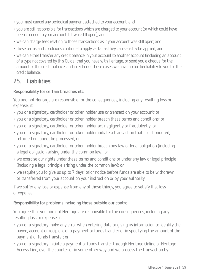- you must cancel any periodical payment attached to your account; and
- you are still responsible for transactions which are charged to your account (or which could have been charged to your account if it was still open); and
- we can charge fees relating to those transactions as if your account was still open; and
- these terms and conditions continue to apply, as far as they can sensibly be applied; and
- we can either transfer any credit balance in your account to another account (including an account of a type not covered by this Guide) that you have with Heritage, or send you a cheque for the amount of the credit balance, and in either of those cases we have no further liability to you for the credit balance.

# **25. Liabilities**

# **Responsibility for certain breaches etc**

You and not Heritage are responsible for the consequences, including any resulting loss or expense, if:

- you or a signatory, cardholder or token holder use or transact on your account; or
- you or a signatory, cardholder or token holder breach these terms and conditions; or
- you or a signatory, cardholder or token holder act negligently or fraudulently; or
- you or a signatory, cardholder or token holder initiate a transaction that is dishonoured, returned or cannot be processed; or
- you or a signatory, cardholder or token holder breach any law or legal obligation (including a legal obligation arising under the common law); or
- we exercise our rights under these terms and conditions or under any law or legal principle (including a legal principle arising under the common law); or
- we require you to give us up to 7 days' prior notice before funds are able to be withdrawn or transferred from your account on your instruction or by your authority.

If we suffer any loss or expense from any of those things, you agree to satisfy that loss or expense.

# **Responsibility for problems including those outside our control**

You agree that you and not Heritage are responsible for the consequences, including any resulting loss or expense, if:

- you or a signatory make any error when entering data or giving us information to identify the payee, account or recipient of a payment or funds transfer or in specifying the amount of the payment or funds transfer; or
- you or a signatory initiate a payment or funds transfer through Heritage Online or Heritage Access Line, over the counter or in some other way and we process the transaction by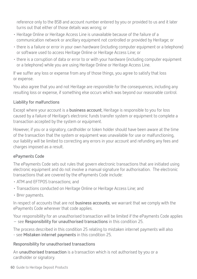reference only to the BSB and account number entered by you or provided to us and it later turns out that either of those details was wrong; or

- Heritage Online or Heritage Access Line is unavailable because of the failure of a communication network or ancillary equipment not controlled or provided by Heritage; or
- there is a failure or error in your own hardware (including computer equipment or a telephone) or software used to access Heritage Online or Heritage Access Line; or
- there is a corruption of data or error to or with your hardware (including computer equipment or a telephone) while you are using Heritage Online or Heritage Access Line.

If we suffer any loss or expense from any of those things, you agree to satisfy that loss or expense.

You also agree that you and not Heritage are responsible for the consequences, including any resulting loss or expense, if something else occurs which was beyond our reasonable control.

### **Liability for malfunctions**

Except where your account is a **business account**, Heritage is responsible to you for loss caused by a failure of Heritage's electronic funds transfer system or equipment to complete a transaction accepted by the system or equipment.

However, if you or a signatory, cardholder or token holder should have been aware at the time of the transaction that the system or equipment was unavailable for use or malfunctioning, our liability will be limited to correcting any errors in your account and refunding any fees and charges imposed as a result.

### **ePayments Code**

The ePayments Code sets out rules that govern electronic transactions that are initiated using electronic equipment and do not involve a manual signature for authorisation. The electronic transactions that are covered by the ePayments Code include:

- ATM and EFTPOS transactions; and
- Transactions conducted on Heritage Online or Heritage Access Line; and
- BPAY payments.

In respect of accounts that are not **business accounts**, we warrant that we comply with the ePayments Code wherever that code applies.

Your responsibility for an unauthorised transaction will be limited if the ePayments Code applies – see **Responsibility for unauthorised transactions** in this condition 25.

The process described in this condition 25 relating to mistaken internet payments will also - see **Mistaken internet payments** in this condition 25.

### **Responsibility for unauthorised transactions**

An **unauthorised transaction** is a transaction which is not authorised by you or a cardholder or signatory.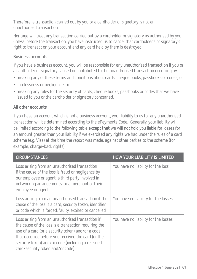Therefore, a transaction carried out by you or a cardholder or signatory is not an unauthorised transaction.

Heritage will treat any transaction carried out by a cardholder or signatory as authorised by you unless, before the transaction, you have instructed us to cancel that cardholder's or signatory's right to transact on your account and any card held by them is destroyed.

#### **Business accounts**

If you have a business account, you will be responsible for any unauthorised transaction if you or a cardholder or signatory caused or contributed to the unauthorised transaction occurring by:

- breaking any of these terms and conditions about cards, cheque books, passbooks or codes; or
- carelessness or negligence; or
- breaking any rules for the security of cards, cheque books, passbooks or codes that we have issued to you or the cardholder or signatory concerned.

#### **All other accounts**

If you have an account which is not a business account, your liability to us for any unauthorised transaction will be determined according to the ePayments Code. Generally, your liability will be limited according to the following table **except that** we will not hold you liable for losses for an amount greater than your liability if we exercised any rights we had under the rules of a card scheme (e.g. Visa) at the time the report was made, against other parties to the scheme (for example, charge-back rights).

| <b>CIRCUMSTANCES</b>                                                                                                                                                                                                                                                                                         | <b>HOW YOUR LIABILITY IS LIMITED</b> |
|--------------------------------------------------------------------------------------------------------------------------------------------------------------------------------------------------------------------------------------------------------------------------------------------------------------|--------------------------------------|
| Loss arising from an unauthorised transaction<br>if the cause of the loss is fraud or negligence by<br>our employee or agent, a third party involved in<br>networking arrangements, or a merchant or their<br>employee or agent                                                                              | You have no liability for the loss   |
| Loss arising from an unauthorised transaction if the<br>cause of the loss is a card, security token, identifier<br>or code which is forged, faulty, expired or cancelled                                                                                                                                     | You have no liability for the losses |
| Loss arising from an unauthorised transaction if<br>the cause of the loss is a transaction requiring the<br>use of a card (or a security token) and/or a code<br>that occurred before you received the card (or the<br>security token) and/or code (including a reissued<br>card/security token and/or code) | You have no liability for the losses |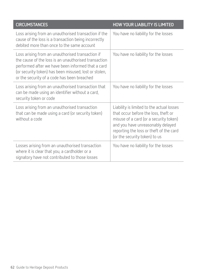| <b>CIRCUMSTANCES</b>                                                                                                                                                                                                                                                  | <b>HOW YOUR LIABILITY IS LIMITED</b>                                                                                                                                                                                                         |
|-----------------------------------------------------------------------------------------------------------------------------------------------------------------------------------------------------------------------------------------------------------------------|----------------------------------------------------------------------------------------------------------------------------------------------------------------------------------------------------------------------------------------------|
| Loss arising from an unauthorised transaction if the<br>cause of the loss is a transaction being incorrectly<br>debited more than once to the same account                                                                                                            | You have no liability for the losses                                                                                                                                                                                                         |
| Loss arising from an unauthorised transaction if<br>the cause of the loss is an unauthorised transaction<br>performed after we have been informed that a card<br>(or security token) has been misused, lost or stolen,<br>or the security of a code has been breached | You have no liability for the losses                                                                                                                                                                                                         |
| Loss arising from an unauthorised transaction that<br>can be made using an identifier without a card,<br>security token or code                                                                                                                                       | You have no liability for the losses                                                                                                                                                                                                         |
| Loss arising from an unauthorised transaction<br>that can be made using a card (or security token)<br>without a code                                                                                                                                                  | Liability is limited to the actual losses<br>that occur before the loss, theft or<br>misuse of a card (or a security token)<br>and you have unreasonably delayed<br>reporting the loss or theft of the card<br>(or the security token) to us |
| Losses arising from an unauthorised transaction<br>where it is clear that you, a cardholder or a<br>signatory have not contributed to those losses                                                                                                                    | You have no liability for the losses                                                                                                                                                                                                         |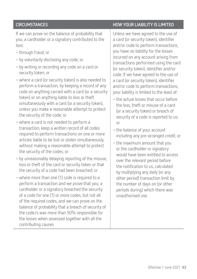# **CIRCUMSTANCES HOW YOUR LIABILITY IS LIMITED**

If we can prove on the balance of probability that you, a cardholder or a signatory contributed to the loss:

- through fraud; or
- by voluntarily disclosing any code; or
- by writing or recording any code on a card or security token; or
- where a card (or security token) is also needed to perform a transaction, by keeping a record of any code on anything carried with a card (or a security token) or on anything liable to loss or theft simultaneously with a card (or a security token), unless you make a reasonable attempt to protect the security of the code; or
- where a card is not needed to perform a transaction, keep a written record of all codes required to perform transactions on one or more articles liable to be lost or stolen simultaneously, without making a reasonable attempt to protect the security of the codes; or
- by unreasonably delaying reporting of the misuse, loss or theft of the card or security token or that the security of a code had been breached; or
- where more than one (1) code is required to a perform a transaction and we prove that you, a cardholder or a signatory breached the security of a code for one (1) or more codes, but not all of the required codes, and we can prove on the balance of probability that a breach of security of the code/s was more than 50% responsible for the losses when assessed together with all the contributing causes

Unless we have agreed to the use of a card (or security token), identifier and/or code to perform transactions, you have no liability for the losses incurred on any account arising from transactions performed using the card (or security token), identifier and/or code. If we have agreed to the use of a card (or security token), identifier and/or code to perform transactions, your liability is limited to the least of:

- the actual losses that occur before the loss, theft or misuse of a card (or a security token) or breach of security of a code is reported to us: or
- the balance of your account including any pre-arranged credit; or
- the maximum amount that you or the cardholder or signatory would have been entitled to access over the relevant period before the notification to us, calculated by multiplying any daily (or any other period) transaction limit by the number of days on (or other periods during) which there was unauthorised use.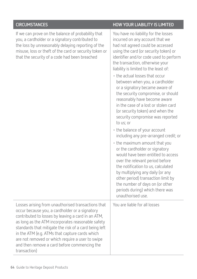| <b>CIRCUMSTANCES</b>                                                                                                                                                                                                                                                                                                                                                                                                                           | <b>HOW YOUR LIABILITY IS LIMITED</b>                                                                                                                                                                                                                                                                                                                                                                                                                                                                                                                                                                                                                                                                                                                                                                                                                                                                                                                                                                                 |
|------------------------------------------------------------------------------------------------------------------------------------------------------------------------------------------------------------------------------------------------------------------------------------------------------------------------------------------------------------------------------------------------------------------------------------------------|----------------------------------------------------------------------------------------------------------------------------------------------------------------------------------------------------------------------------------------------------------------------------------------------------------------------------------------------------------------------------------------------------------------------------------------------------------------------------------------------------------------------------------------------------------------------------------------------------------------------------------------------------------------------------------------------------------------------------------------------------------------------------------------------------------------------------------------------------------------------------------------------------------------------------------------------------------------------------------------------------------------------|
| If we can prove on the balance of probability that<br>you, a cardholder or a signatory contributed to<br>the loss by unreasonably delaying reporting of the<br>misuse, loss or theft of the card or security token or<br>that the security of a code had been breached                                                                                                                                                                         | You have no liability for the losses<br>incurred on any account that we<br>had not agreed could be accessed<br>using the card (or security token) or<br>identifier and/or code used to perform<br>the transaction, otherwise your<br>liability is limited to the least of:<br>• the actual losses that occur<br>between when you, a cardholder<br>or a signatory became aware of<br>the security compromise, or should<br>reasonably have become aware<br>in the case of a lost or stolen card<br>(or security token) and when the<br>security compromise was reported<br>to us; or<br>• the balance of your account<br>including any pre-arranged credit; or<br>• the maximum amount that you<br>or the cardholder or signatory<br>would have been entitled to access<br>over the relevant period before<br>the notification to us, calculated<br>by multiplying any daily (or any<br>other period) transaction limit by<br>the number of days on (or other<br>periods during) which there was<br>unauthorised use. |
| Losses arising from unauthorised transactions that<br>occur because you, a cardholder or a signatory<br>contributed to losses by leaving a card in an ATM,<br>as long as the ATM incorporates reasonable safety<br>standards that mitigate the risk of a card being left<br>in the ATM (e.g. ATMs that capture cards which<br>are not removed or which require a user to swipe<br>and then remove a card before commencing the<br>transaction) | You are liable for all losses                                                                                                                                                                                                                                                                                                                                                                                                                                                                                                                                                                                                                                                                                                                                                                                                                                                                                                                                                                                        |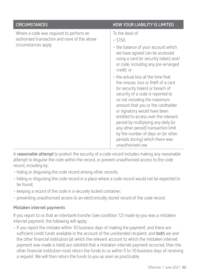| <b>CIRCUMSTANCES</b>                                                                                           | <b>HOW YOUR LIABILITY IS LIMITED</b>                                                                                                                                                                                                                                                                                                                                                                                                                                                                                                                                                                                                                                                    |
|----------------------------------------------------------------------------------------------------------------|-----------------------------------------------------------------------------------------------------------------------------------------------------------------------------------------------------------------------------------------------------------------------------------------------------------------------------------------------------------------------------------------------------------------------------------------------------------------------------------------------------------------------------------------------------------------------------------------------------------------------------------------------------------------------------------------|
| Where a code was required to perform an<br>authorised transaction and none of the above<br>circumstances apply | To the least of:<br>$\cdot$ \$150<br>• the balance of your account which<br>we have agreed can be accessed<br>using a card (or security token) and/<br>or code, including any pre-arranged<br>credit; or<br>• the actual loss at the time that<br>the misuse, loss or theft of a card<br>(or security token) or breach of<br>security of a code is reported to<br>us not including the maximum<br>amount that you or the cardholder<br>or signatory would have been<br>entitled to access over the relevant<br>period by multiplying any daily (or<br>any other period) transaction limit<br>by the number of days on (or other<br>periods during) which there was<br>unauthorised use. |

A **reasonable attempt** to protect the security of a code record includes making any reasonable attempt to disguise the code within the record, or prevent unauthorised access to the code record, including by:

- hiding or disguising the code record among other records;
- hiding or disguising the code record in a place where a code record would not be expected to be found;
- keeping a record of the code in a securely locked container;
- preventing unauthorised access to an electronically stored record of the code record.

### **Mistaken internet payments**

If you report to us that an interbank transfer (see condition 12) made by you was a mistaken internet payment, the following will apply:

• If you report the mistake within 10 business days of making the payment, and there are sufficient credit funds available in the account of the unintended recipient, and **both** we and the other financial institution (at which the relevant account to which the mistaken internet payment was made is held) are satisfied that a mistaken internet payment occurred, then the other financial institution must return the funds to us within 5 to 10 business days of receiving a request. We will then return the funds to you as soon as practicable.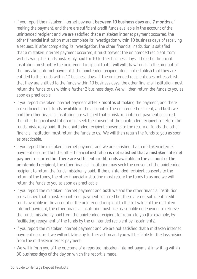- If you report the mistaken internet payment **between 10 business days** and **7 months** of making the payment, and there are sufficient credit funds available in the account of the unintended recipient and we are satisfied that a mistaken internet payment occurred, the other financial institution must complete its investigation within 10 business days of receiving a request. If, after completing its investigation, the other financial institution is satisfied that a mistaken internet payment occurred, it must prevent the unintended recipient from withdrawing the funds mistakenly paid for 10 further business days. The other financial institution must notify the unintended recipient that it will withdraw funds in the amount of the mistaken internet payment if the unintended recipient does not establish that they are entitled to the funds within 10 business days. If the unintended recipient does not establish that they are entitled to the funds within 10 business days, the other financial institution must return the funds to us within a further 2 business days. We will then return the funds to you as soon as practicable.
- If you report mistaken internet payment **after 7 months** of making the payment, and there are sufficient credit funds available in the account of the unintended recipient, and **both** we and the other financial institution are satisfied that a mistaken internet payment occurred, the other financial institution must seek the consent of the unintended recipient to return the funds mistakenly paid. If the unintended recipient consents to the return of funds, the other financial institution must return the funds to us. We will then return the funds to you as soon as practicable.
- If you report the mistaken internet payment and we are satisfied that a mistaken internet payment occurred but the other financial institution **is not satisfied that a mistaken internet payment occurred but there are sufficient credit funds available in the account of the unintended recipient**, the other financial institution may seek the consent of the unintended recipient to return the funds mistakenly paid. If the unintended recipient consents to the return of the funds, the other financial institution must return the funds to us and we will return the funds to you as soon as practicable.
- If you report the mistaken internet payment and **both** we and the other financial institution are satisfied that a mistaken internet payment occurred but there are not sufficient credit funds available in the account of the unintended recipient to the full value of the mistaken internet payment, the other financial institution must use reasonable endeavours to retrieve the funds mistakenly paid from the unintended recipient for return to you (for example, by facilitating repayment of the funds by the unintended recipient by instalments).
- If you report the mistaken internet payment and we are not satisfied that a mistaken internet payment occurred, we will not take any further action and you will be liable for the loss arising from the mistaken internet payment.
- We will inform you of the outcome of a reported mistaken internet payment in writing within 30 business days of the day on which the report is made.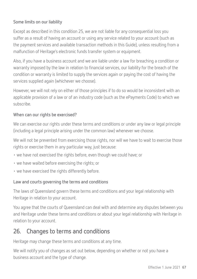# **Some limits on our liability**

Except as described in this condition 25, we are not liable for any consequential loss you suffer as a result of having an account or using any service related to your account (such as the payment services and available transaction methods in this Guide), unless resulting from a malfunction of Heritage's electronic funds transfer system or equipment.

Also, if you have a business account and we are liable under a law for breaching a condition or warranty imposed by the law in relation to financial services, our liability for the breach of the condition or warranty is limited to supply the services again or paying the cost of having the services supplied again (whichever we choose).

However, we will not rely on either of those principles if to do so would be inconsistent with an applicable provision of a law or of an industry code (such as the ePayments Code) to which we subscribe.

# **When can our rights be exercised?**

We can exercise our rights under these terms and conditions or under any law or legal principle (including a legal principle arising under the common law) whenever we choose.

We will not be prevented from exercising those rights, nor will we have to wait to exercise those rights or exercise them in any particular way, just because:

- we have not exercised the rights before, even though we could have; or
- we have waited before exercising the rights; or
- we have exercised the rights differently before.

# **Law and courts governing the terms and conditions**

The laws of Queensland govern these terms and conditions and your legal relationship with Heritage in relation to your account.

You agree that the courts of Queensland can deal with and determine any disputes between you and Heritage under these terms and conditions or about your legal relationship with Heritage in relation to your account.

# **26. Changes to terms and conditions**

Heritage may change these terms and conditions at any time.

We will notify you of changes as set out below, depending on whether or not you have a business account and the type of change.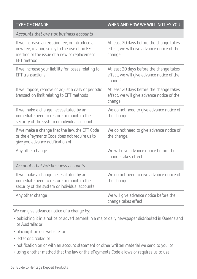| <b>TYPE OF CHANGE</b>                                                                                                                                        | WHEN AND HOW WE WILL NOTIFY YOU                                                                   |
|--------------------------------------------------------------------------------------------------------------------------------------------------------------|---------------------------------------------------------------------------------------------------|
| Accounts that are not business accounts                                                                                                                      |                                                                                                   |
| If we increase an existing fee, or introduce a<br>new fee, relating solely to the use of an EFT<br>method or the issue of a new or replacement<br>FFT method | At least 20 days before the change takes<br>effect, we will give advance notice of the<br>change. |
| If we increase your liability for losses relating to<br>EFT transactions                                                                                     | At least 20 days before the change takes<br>effect, we will give advance notice of the<br>change. |
| If we impose, remove or adjust a daily or periodic<br>transaction limit relating to EFT methods                                                              | At least 20 days before the change takes<br>effect, we will give advance notice of the<br>change. |
| If we make a change necessitated by an<br>immediate need to restore or maintain the<br>security of the system or individual accounts                         | We do not need to give advance notice of<br>the change.                                           |
| If we make a change that the law, the EFT Code<br>or the ePayments Code does not require us to<br>give you advance notification of                           | We do not need to give advance notice of<br>the change.                                           |
| Any other change                                                                                                                                             | We will give advance notice before the<br>change takes effect.                                    |
| Accounts that are business accounts                                                                                                                          |                                                                                                   |
| If we make a change necessitated by an<br>immediate need to restore or maintain the<br>security of the system or individual accounts                         | We do not need to give advance notice of<br>the change.                                           |
| Any other change                                                                                                                                             | We will give advance notice before the<br>change takes effect.                                    |

We can give advance notice of a change by:

- publishing it in a notice or advertisement in a major daily newspaper distributed in Queensland or Australia; or
- placing it on our website; or
- letter or circular; or
- notification on or with an account statement or other written material we send to you; or
- using another method that the law or the ePayments Code allows or requires us to use.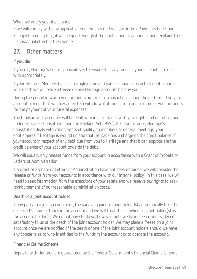When we notify you of a change:

- we will comply with any applicable requirements under a law or the ePayments Code; and
- subject to doing that, it will be good enough if the notification or announcement explains the substantial effect of the change.

# **27. Other matters**

# **If you die**

If you die, Heritage's first responsibility is to ensure that any funds in your accounts are dealt with appropriately.

If your Heritage Membership is in a single name and you die, upon satisfactory notification of your death we will place a freeze on any Heritage accounts held by you.

During the period in which your accounts are frozen, transactions cannot be performed on your accounts except that we may agree to a withdrawal of funds from one or more of your accounts for the payment of your funeral expenses.

The funds in your accounts will be dealt with in accordance with your rights and our obligations under Heritage's Constitution and the Banking Act 1959 (Cth). For instance, Heritage's Constitution deals with voting rights of qualifying members at general meetings, your entitlements if Heritage is wound up and that Heritage has a charge on the credit balance of your account in respect of any debt due from you to Heritage and that it can appropriate the credit balance of your account towards the debt.

We will usually only release funds from your account in accordance with a Grant of Probate or Letters of Administration.

If a Grant of Probate or Letters of Administration have not been obtained, we will consider the release of funds from your accounts in accordance with our internal policy. In this case, we will need to seek information from the executors of your estate and we reserve our rights to seek reimbursement of our reasonable administration costs.

# **Death of a joint account holder**

If any party to a joint account dies, the surviving joint account holder(s) automatically take the deceased's share of funds in the account and we will treat the surviving account holder(s) as the account holder(s). We do not have to do so, however, until we have been given evidence satisfactory to us of the death of the joint account holder. We may place a freeze on a joint account once we are notified of the death of one of the joint account holders should we have any concerns as to who is entitled to the funds in the account or to operate the account.

# **Financial Claims Scheme**

Deposits with Heritage are guaranteed by the Federal Government's Financial Claims Scheme.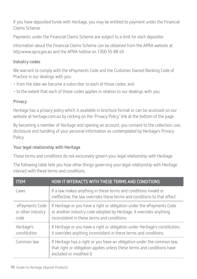If you have deposited funds with Heritage, you may be entitled to payment under the Financial Claims Scheme.

Payments under the Financial Claims Scheme are subject to a limit for each depositor.

Information about the Financial Claims Scheme can be obtained from the APRA website at http:www.apra.gov.au and the APRA hotline on 1300 55 88 49.

# **Industry codes**

We warrant to comply with the ePayments Code and the Customer Owned Banking Code of Practice in our dealings with you:

- from the date we become a subscriber to each of those codes; and
- to the extent that each of those codes applies in relation to our dealings with you.

# **Privacy**

Heritage has a privacy policy which is available in brochure format or can be accessed on our website at heritage.com.au by clicking on the 'Privacy Policy' link at the bottom of the page.

By becoming a member of Heritage and opening an account, you consent to the collection, use, disclosure and handling of your personal information as contemplated by Heritage's Privacy Policy.

# **Your legal relationship with Heritage**

These terms and conditions do not exclusively govern your legal relationship with Heritage.

The following table tells you how other things governing your legal relationship with Heritage interact with these terms and conditions.

| <b>ITEM</b>                                 | HOW IT INTERACTS WITH THESE TERMS AND CONDITIONS                                                                                                                                             |
|---------------------------------------------|----------------------------------------------------------------------------------------------------------------------------------------------------------------------------------------------|
| Laws                                        | If a law makes anything in these terms and conditions invalid or<br>ineffective, the law overrides these terms and conditions to that effect.                                                |
| ePayments Code<br>or other industry<br>code | If Heritage or you have a right or obligation under the ePayments Code<br>or another industry code adopted by Heritage, it overrides anything<br>inconsistent in these terms and conditions. |
| Heritage's<br>constitution                  | If Heritage or you have a right or obligation under Heritage's constitution,<br>it overrides anything inconsistent in these terms and conditions.                                            |
| Common law                                  | If Heritage has a right or you have an obligation under the common law,<br>that right or obligation applies unless these terms and conditions have<br>excluded or modified it.               |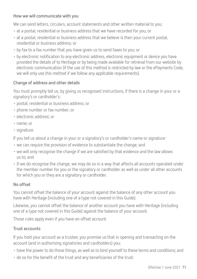### **How we will communicate with you**

We can send letters, circulars, account statements and other written material to you:

- at a postal, residential or business address that we have recorded for you; or
- at a postal, residential or business address that we believe is then your current postal, residential or business address; or
- by fax to a fax number that you have given us to send faxes to you; or
- by electronic notification to any electronic address, electronic equipment or device you have provided the details of to Heritage or by being made available for retrieval from our website by electronic communication (if the use of this method is restricted by law or the ePayments Code, we will only use this method if we follow any applicable requirements).

#### **Change of address and other details**

You must promptly tell us, by giving us recognised instructions, if there is a change in your or a signatory's or cardholder's:

- postal, residential or business address; or
- phone number or fax number; or
- electronic address; or
- name; or
- signature.

If you tell us about a change in your or a signatory's or cardholder's name or signature:

- we can require the provision of evidence to substantiate the change; and
- we will only recognise the change if we are satisfied by that evidence and the law allows us to; and
- if we do recognise the change, we may do so in a way that affects all accounts operated under the member number for you or the signatory or cardholder as well as under all other accounts for which you or they are a signatory or cardholder.

### **No offset**

You cannot offset the balance of your account against the balance of any other account you have with Heritage (including one of a type not covered in this Guide).

Likewise, you cannot offset the balance of another account you have with Heritage (including one of a type not covered in this Guide) against the balance of your account.

Those rules apply even if you have an offset account.

### **Trust accounts**

If you hold your account as a trustee, you promise us that in opening and transacting on the account (and in authorising signatories and cardholders) you:

- have the power to do those things, as well as to bind yourself to these terms and conditions; and
- do so for the benefit of the trust and any beneficiaries of the trust.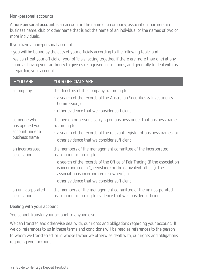### **Non-personal accounts**

A **non-personal account** is an account in the name of a company, association, partnership, business name, club or other name that is not the name of an individual or the names of two or more individuals.

If you have a non-personal account:

- you will be bound by the acts of your officials according to the following table; and
- we can treat your official or your officials (acting together, if there are more than one) at any time as having your authority to give us recognised instructions, and generally to deal with us, regarding your account.

| IF YOU ARE                                                         | YOUR OFFICIALS ARE                                                                                                                                                                                                                                                                                                                       |
|--------------------------------------------------------------------|------------------------------------------------------------------------------------------------------------------------------------------------------------------------------------------------------------------------------------------------------------------------------------------------------------------------------------------|
| a company                                                          | the directors of the company according to:<br>• a search of the records of the Australian Securities & Investments<br>Commission; or<br>• other evidence that we consider sufficient                                                                                                                                                     |
| someone who<br>has opened your<br>account under a<br>business name | the person or persons carrying on business under that business name<br>according to:<br>• a search of the records of the relevant register of business names; or<br>• other evidence that we consider sufficient                                                                                                                         |
| an incorporated<br>association                                     | the members of the management committee of the incorporated<br>association according to:<br>• a search of the records of the Office of Fair Trading (if the association<br>is incorporated in Queensland) or the equivalent office (if the<br>association is incorporated elsewhere); or<br>• other evidence that we consider sufficient |
| an unincorporated<br>association                                   | the members of the management committee of the unincorporated<br>association according to evidence that we consider sufficient                                                                                                                                                                                                           |

#### **Dealing with your account**

You cannot transfer your account to anyone else.

We can transfer, and otherwise deal with, our rights and obligations regarding your account. If we do, references to us in these terms and conditions will be read as references to the person to whom we transferred, or in whose favour we otherwise dealt with, our rights and obligations regarding your account.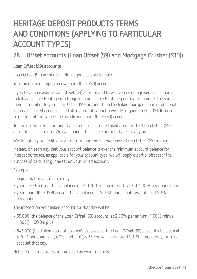# **HERITAGE DEPOSIT PRODUCTS TERMS AND CONDITIONS (APPLYING TO PARTICULAR ACCOUNT TYPES)**

# **28. Offset accounts (Loan Offset (S9) and Mortgage Crusher (S10))**

**Loan Offset (S9) accounts**

Loan Offset (S9) accounts – No longer available for sale

You can no longer open a new Loan Offset (S9) account.

If you have an existing Loan Offset (S9) account and have given us recognised instructions to link an eligible Heritage mortgage loan or eligible Heritage personal loan under the same member number to your Loan Offset (S9) account then the linked mortgage loan or personal loan is the linked account. The linked account cannot have a Mortgage Crusher (S10) account linked to it at the same time as a linked Loan Offset (S9) account.

To find out what loan account types are eligible to be linked accounts for Loan Offset (S9) accounts please ask us. We can change the eligible account types at any time.

We do not pay or credit your account with interest if you have a Loan Offset (S9) account.

Instead, on each day that your account balance is over the minimum account balance for interest purposes, as applicable for your account type, we will apply a partial offset for the purpose of calculating interest on your linked account.

Example

Imagine that on a particular day:

- your linked account has a balance of \$50,000 and an interest rate of 4.00% per annum; and
- your Loan Offset (S9) account has a balance of \$5,000 and an interest rate of 1.50% per annum.

The interest on your linked account for that day will be:

- \$5,000 (the balance of the Loan Offset (S9) account) at 2.50% per annum (4.00% minus  $1.50\% = 50.34$ ; plus
- \$45,000 (the linked account balance's excess over the Loan Offset (S9) account's balance) at 4.00% per annum = \$4.93, a total of \$5.27. You will have saved \$0.21 interest on your linked account that day.

Note: The interest rates are provided as examples only.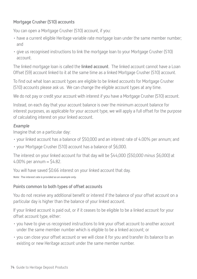### **Mortgage Crusher (S10) accounts**

You can open a Mortgage Crusher (S10) account, if you:

- have a current eligible Heritage variable rate mortgage loan under the same member number; and
- give us recognised instructions to link the mortgage loan to your Mortgage Crusher (S10) account.

The linked mortgage loan is called the **linked account**. The linked account cannot have a Loan Offset (S9) account linked to it at the same time as a linked Mortgage Crusher (S10) account.

To find out what loan account types are eligible to be linked accounts for Mortgage Crusher (S10) accounts please ask us. We can change the eligible account types at any time.

We do not pay or credit your account with interest if you have a Mortgage Crusher (S10) account.

Instead, on each day that your account balance is over the minimum account balance for interest purposes, as applicable for your account type, we will apply a full offset for the purpose of calculating interest on your linked account.

### **Example**

Imagine that on a particular day:

- your linked account has a balance of \$50,000 and an interest rate of 4.00% per annum; and
- your Mortgage Crusher (S10) account has a balance of \$6,000.

The interest on your linked account for that day will be \$44,000 (\$50,000 minus \$6,000) at 4.00% per annum = \$4.82.

You will have saved \$0.66 interest on your linked account that day.

**Note: The interest rate is provided as an example only.**

### **Points common to both types of offset accounts**

You do not receive any additional benefit or interest if the balance of your offset account on a particular day is higher than the balance of your linked account.

If your linked account is paid out, or if it ceases to be eligible to be a linked account for your offset account type, either:

- you have to give us recognised instructions to link your offset account to another account under the same member number which is eligible to be a linked account; or
- you can close your offset account or we will close it for you and transfer its balance to an existing or new Heritage account under the same member number.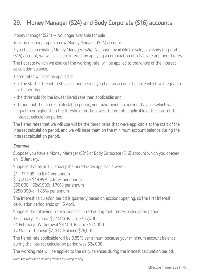# **29. Money Manager (S24) and Body Corporate (S16) accounts**

Money Manager (S24) – No longer available for sale

You can no longer open a new Money Manager (S24) account.

If you have an existing Money Manager (S24) (No longer available for sale) or a Body Corporate (S16) account, we will calculate interest by applying a combination of a flat rate and tiered rates.

The flat rate (which we also call the working rate) will be applied to the whole of the interest calculation balance.

Tiered rates will also be applied if:

- at the start of the interest calculation period, you had an account balance which was equal to or higher than
- the threshold for the lowest tiered rate then applicable; and
- throughout the interest calculation period, you maintained an account balance which was equal to or higher than the threshold for the lowest tiered rate applicable at the start of the interest calculation period.

The tiered rates that we will use will be the tiered rates that were applicable at the start of the interest calculation period, and we will base them on the minimum account balance during the interest calculation period.

### **Example**

Suppose you have a Money Manager (S24) or Body Corporate (S16) account which you opened on 15 January.

Suppose that as at 15 January the tiered rates applicable were:

\$1 - \$9,999: 0.10% per annum \$10,000 - \$49,999: 0.85% per annum \$50,000 - \$249,999: 1.70% per annum \$250,000+: 1.85% per annum

The interest calculation period is quarterly based on account opening, so the first interest calculation period ends on 15 April.

Suppose the following transactions occurred during that interest calculation period:

15 January: Deposit \$27,400 Balance \$27,400

24 February: Withdrawal \$3,400 Balance \$24,000

17 March: Deposit \$2,000 Balance \$26,000

The tiered rate applicable will be 0.85% per annum because your minimum account balance during the interest calculation period was \$24,000.

The working rate will be applied to the daily balances during the interest calculation period.

Note: The rates and tiers are provided as examples only.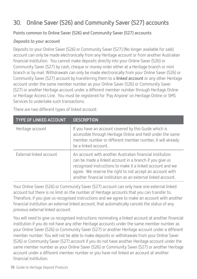### **30. Online Saver (S26) and Community Saver (S27) accounts**

#### **Points common to Online Saver (S26) and Community Saver (S27) accounts**

#### **Deposits to your account**

Deposits to your Online Saver (S26) or Community Saver (S27) (No longer available for sale) account can only be made electronically from any Heritage account or from another Australian financial institution. You cannot make deposits directly into your Online Saver (S26) or Community Saver (S27) by cash, cheque or money order either at a Heritage branch or mini branch or by mail. Withdrawals can only be made electronically from your Online Saver (S26) or Community Saver (S27) account by transferring them to a **linked account** or any other Heritage account under the same member number as your Online Saver (S26) or Community Saver (S27) or another Heritage account under a different member number through Heritage Online or Heritage Access Line. You must be registered for 'Pay Anyone' on Heritage Online or SMS Services to undertake such transactions.

| There are two different types of linked account: |  |
|--------------------------------------------------|--|
|--------------------------------------------------|--|

| <b>TYPE OF LINKED ACCOUNT</b> | <b>DESCRIPTION</b>                                                                                                                                                                                                                                                                                             |
|-------------------------------|----------------------------------------------------------------------------------------------------------------------------------------------------------------------------------------------------------------------------------------------------------------------------------------------------------------|
| Heritage account              | If you have an account covered by this Guide which is<br>accessible through Heritage Online and held under the same<br>member number or different member number, it will already<br>be a linked account.                                                                                                       |
| External linked account       | An account with another Australian financial institution<br>can be made a linked account in a branch if you give us<br>recognised instructions to make it a linked account and we<br>agree. We reserve the right to not accept an account with<br>another financial institution as an external linked account. |

Your Online Saver (S26) or Community Saver (S27) account can only have one external linked account but there is no limit on the number of Heritage accounts that you can transfer to. Therefore, if you give us recognised instructions and we agree to make an account with another financial institution an external linked account, that automatically cancels the status of any previous external linked account.

You will need to give us recognised instructions nominating a linked account at another financial institution if you do not have any other Heritage accounts under the same member number as your Online Saver (S26) or Community Saver (S27) or another Heritage account under a different member number. You will not be able to make deposits or withdrawals from your Online Saver (S26) or Community Saver (S27) account if you do not have another Heritage account under the same member number as your Online Saver (S26) or Community Saver (S27) or another Heritage account under a different member number or you have not linked an account at another financial institution.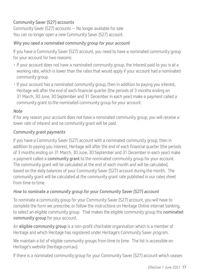### **Community Saver (S27) accounts**

Community Saver (S27) accounts – No longer available for sale You can no longer open a new Community Saver (S27) account.

#### **Why you need a nominated community group for your account**

If you have a Community Saver (S27) account, you need to have a nominated community group for your account for two reasons:

- If your account does not have a nominated community group, the interest paid to you is at a working rate, which is lower than the rates that would apply if your account had a nominated community group.
- If your account has a nominated community group, then in addition to paying you interest, Heritage will after the end of each financial quarter (the periods of 3 months ending on 31 March, 30 June, 30 September and 31 December in each year) make a payment called a community grant to the nominated community group for your account.

#### **Note**

If for any reason your account does not have a nominated community group, you will receive a lower rate of interest and no community grant will be paid.

#### **Community grant payments**

If you have a Community Saver (S27) account with a nominated community group, then in addition to paying you interest, Heritage will after the end of each financial quarter (the periods of 3 months ending on 31 March, 30 June, 30 September and 31 December in each year) make a payment called a **community grant** to the nominated community group for your account. The community grant will be calculated at the end of each month and will be calculated, based on the daily balances of your Community Saver (S27) account during the month. The community grant will be calculated at the community grant rate published in our rates sheet from time to time.

#### **How to nominate a community group for your Community Saver (S27) account**

To nominate a community group for your Community Saver (S27) account, you will have to complete the form we prescribe, or follow the instructions on Heritage Online internet banking, to select an eligible community group. That makes the eligible community group the **nominated community group** for your account.

An **eligible community group** is a non-profit charitable organisation which is a member of Heritage and which Heritage has registered under Heritage's Community Saver program.

We maintain a list of eligible community groups from time to time. The list is accessible on Heritage's website (heritage.com.au).

If there is a nominated community group for your Community Saver (S27) account which ceases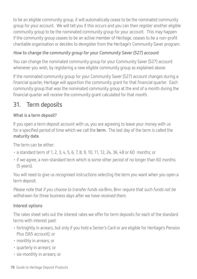to be an eligible community group, it will automatically cease to be the nominated community group for your account. We will tell you if this occurs and you can then register another eligible community group to be the nominated community group for your account. This may happen if the community group ceases to be an active member of Heritage, ceases to be a non-profit charitable organisation or decides to deregister from the Heritage's Community Saver program.

### **How to change the community group for your Community Saver (S27) account**

You can change the nominated community group for your Community Saver (S27) account whenever you wish, by registering a new eligible community group as explained above.

If the nominated community group for your Community Saver (S27) account changes during a financial quarter, Heritage will apportion the community grant for that financial quarter. Each community group that was the nominated community group at the end of a month during the financial quarter will receive the community grant calculated for that month.

# **31. Term deposits**

### **What is a term deposit?**

If you open a term deposit account with us, you are agreeing to leave your money with us for a specified period of time which we call the **term**. The last day of the term is called the **maturity date**.

The term can be either:

- a standard term of 1, 2, 3, 4, 5, 6, 7, 8, 9, 10, 11, 12, 24, 36, 48 or 60 months; or
- if we agree, a non-standard term which is some other period of no longer than 60 months (5 years).

You will need to give us recognised instructions selecting the term you want when you open a term deposit.

Please note that if you choose to transfer funds via BPAY, BPAY require that such funds not be withdrawn for three business days after we have received them.

### **Interest options**

The rates sheet sets out the interest rates we offer for term deposits for each of the standard terms with interest paid:

- fortnightly in arrears, but only if you hold a Senior's Card or are eligible for Heritage's Pension Plus (S65 account); or
- monthly in arrears; or
- quarterly in arrears; or
- six-monthly in arrears; or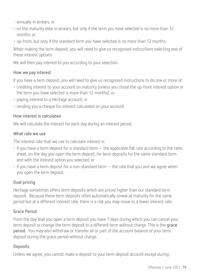- annually in arrears; or
- on the maturity date in arrears, but only if the term you have selected is no more than 12 months; or
- up-front, but only if the standard term you have selected is no more than 12 months.

When making the term deposit, you will need to give us recognised instructions selecting one of these interest options.

We will then pay interest to you according to your selection.

#### **How we pay interest**

If you have a term deposit, you will need to give us recognised instructions to do one or more of:

- crediting interest to your account on maturity (unless you chose the up-front interest option or the term you have selected is more than 12 months); or
- paying interest to a Heritage account; or
- sending you a cheque for interest calculated on your account.

#### **How interest is calculated**

We will calculate the interest for each day during an interest period.

#### **What rate we use**

The interest rate that we use to calculate interest is:

- if you have a term deposit for a standard term the applicable flat rate according to the rates sheet, on the day you open the term deposit, for term deposits for the same standard term and with the interest option you selected; or
- if you have a term deposit for a non-standard term the rate that you and we agree when you open the term deposit.

#### **Dual pricing**

Heritage sometimes offers term deposits which are priced higher than our standard term deposit. Because these term deposits often automatically renew at maturity for the same period but at a different interest rate, there is a risk you may move to a lower interest rate.

#### **Grace Period**

From the day that you open a term deposit you have 7 days during which you can cancel your term deposit or change the term deposit to a different term without charge. This is the **grace period.** You may also withdraw or transfer all or part of the account balance of your term deposit during the grace period without charge.

#### **Deposits**

Unless we agree, you cannot make a deposit to your term deposit account except during: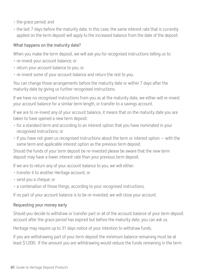- the grace period; and
- the last 7 days before the maturity date. In this case, the same interest rate that is currently applied on the term deposit will apply to the increased balance from the date of the deposit.

#### **What happens on the maturity date?**

When you make the term deposit, we will ask you for recognised instructions telling us to:

- re-invest your account balance; or
- return your account balance to you; or
- re-invest some of your account balance and return the rest to you.

You can change those arrangements before the maturity date or within 7 days after the maturity date by giving us further recognised instructions.

If we have no recognised instructions from you as at the maturity date, we either will re-invest your account balance for a similar term length, or transfer to a savings account.

If we are to re-invest any of your account balance, it means that on the maturity date you are taken to have opened a new term deposit:

- for a standard term and according to an interest option that you have nominated in your recognised instructions; or
- if you have not given us recognised instructions about the term or interest option with the same term and applicable interest option as the previous term deposit.

Should the funds of your term deposit be re-invested please be aware that the new term deposit may have a lower interest rate than your previous term deposit.

If we are to return any of your account balance to you, we will either:

- transfer it to another Heritage account; or
- send you a cheque; or
- a combination of those things, according to your recognised instructions.

If no part of your account balance is to be re-invested, we will close your account.

#### **Requesting your money early**

Should you decide to withdraw or transfer part or all of the account balance of your term deposit account after the grace period has expired but before the maturity date, you can ask us.

Heritage may require up to 31 days notice of your intention to withdraw funds.

If you are withdrawing part of your term deposit the minimum balance remaining must be at least \$1,000. If the amount you are withdrawing would reduce the funds remaining in the term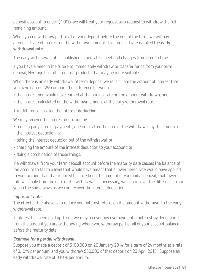deposit account to under \$1,000; we will treat your request as a request to withdraw the full remaining amount.

When you do withdraw part or all of your deposit before the end of the term, we will pay a reduced rate of interest on the withdrawn amount. This reduced rate is called the **early withdrawal rate.** 

The early withdrawal rate is published in our rates sheet and changes from time to time.

If you have a need in the future to immediately withdraw or transfer funds from your term deposit, Heritage has other deposit products that may be more suitable.

When there is an early withdrawal of term deposit, we recalculate the amount of interest that you have earned. We compare the difference between:

- the interest you would have earned at the original rate on the amount withdrawn; and
- the interest calculated on the withdrawn amount at the early withdrawal rate.

#### This difference is called the **interest deduction**.

We may recover the interest deduction by:

- reducing any interest payments, due on or after the date of the withdrawal, by the amount of the interest deduction; or
- taking the interest deduction out of the withdrawal; or
- charging the amount of the interest deduction to your account; or
- doing a combination of those things.

If a withdrawal from your term deposit account before the maturity date causes the balance of the account to fall to a level that would have meant that a lower tiered rate would have applied to your account had that reduced balance been the amount of your initial deposit, that lower rate will apply from the date of the withdrawal. If necessary, we can recover the difference from you in the same ways as we can recover the interest deduction.

#### **Important note**

The effect of the above is to reduce your interest return, on the amount withdrawn, to the early withdrawal rate.

If interest has been paid up-front, we may recover any overpayment of interest by deducting it from the amount you are withdrawing where you withdraw part or all of your account balance before the maturity date.

#### **Example for a partial withdrawal**

Suppose you made a deposit of \$100,000 on 20 January 2014 for a term of 24 months at a rate of 3.10% per annum, and you withdrew \$50,000 of that deposit on 23 April 2015. Suppose an early withdrawal rate of 0.10% per annum.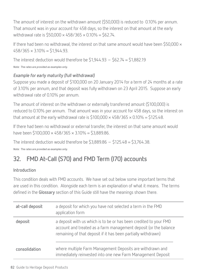The amount of interest on the withdrawn amount (\$50,000) is reduced to 0.10% per annum. That amount was in your account for 458 days, so the interest on that amount at the early withdrawal rate is  $$50,000 \times 458/365 \times 0.10\% = $62.74$ .

If there had been no withdrawal, the interest on that same amount would have been \$50,000  $\times$  $458/365 \times 3.10\% = 51.944.93$ .

The interest deduction would therefore be  $$1,944.93 - $62.74 = $1,882.19$ 

**Note: The rates are provided as examples only.**

### **Example for early maturity (full withdrawal)**

Suppose you made a deposit of \$100,000 on 20 January 2014 for a term of 24 months at a rate of 3.10% per annum, and that deposit was fully withdrawn on 23 April 2015. Suppose an early withdrawal rate of 0.10% per annum.

The amount of interest on the withdrawn or externally transferred amount (\$100,000) is reduced to 0.10% per annum. That amount was in your account for 458 days, so the interest on that amount at the early withdrawal rate is \$100,000  $\times$  458/365  $\times$  0.10% = \$125.48.

If there had been no withdrawal or external transfer, the interest on that same amount would have been \$100,000  $\times$  458/365  $\times$  3.10% = \$3,889,86.

The interest deduction would therefore be  $$3,889.86 - $125.48 = $3,764.38$ .

**Note: The rates are provided as examples only.**

# **32. FMD At-Call (S70) and FMD Term (I70) accounts**

### **Introduction**

This condition deals with FMD accounts. We have set out below some important terms that are used in this condition. Alongside each term is an explanation of what it means. The terms defined in the **Glossary** section of this Guide still have the meanings shown there.

| at-call deposit | a deposit for which you have not selected a term in the FMD<br>application form                                                                                                                        |
|-----------------|--------------------------------------------------------------------------------------------------------------------------------------------------------------------------------------------------------|
| deposit         | a deposit with us which is to be or has been credited to your FMD<br>account and treated as a farm management deposit (or the balance<br>remaining of that deposit if it has been partially withdrawn) |
| consolidation   | where multiple Farm Management Deposits are withdrawn and<br>immediately reinvested into one new Farm Management Deposit                                                                               |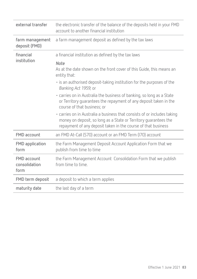| external transfer                           | the electronic transfer of the balance of the deposits held in your FMD<br>account to another financial institution                                                                                           |
|---------------------------------------------|---------------------------------------------------------------------------------------------------------------------------------------------------------------------------------------------------------------|
| farm management<br>deposit (FMD)            | a farm management deposit as defined by the tax laws                                                                                                                                                          |
| financial                                   | a financial institution as defined by the tax laws                                                                                                                                                            |
| institution                                 | Note<br>As at the date shown on the front cover of this Guide, this means an<br>entity that:                                                                                                                  |
|                                             | . is an authorised deposit-taking institution for the purposes of the<br>Banking Act 1959; or                                                                                                                 |
|                                             | • carries on in Australia the business of banking, so long as a State<br>or Territory quarantees the repayment of any deposit taken in the<br>course of that business; or                                     |
|                                             | • carries on in Australia a business that consists of or includes taking<br>money on deposit, so long as a State or Territory quarantees the<br>repayment of any deposit taken in the course of that business |
| <b>FMD</b> account                          | an FMD At-Call (S70) account or an FMD Term (170) account                                                                                                                                                     |
| <b>FMD</b> application<br>form              | the Farm Management Deposit Account Application Form that we<br>publish from time to time                                                                                                                     |
| <b>FMD</b> account<br>consolidation<br>form | the Farm Management Account Consolidation Form that we publish<br>from time to time.                                                                                                                          |
| FMD term deposit                            | a deposit to which a term applies                                                                                                                                                                             |
| maturity date                               | the last day of a term                                                                                                                                                                                        |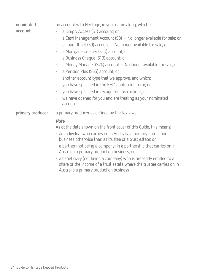| nominated<br>account | an account with Heritage, in your name along, which is:<br>a Simply Access (S1) account; or<br>a Cash Management Account (S8) - No longer available for sale; or<br>٠<br>a Loan Offset (S9) account - No longer available for sale; or<br>٠<br>a Mortgage Crusher (S10) account; or<br>٠<br>a Business Cheque (S13) account; or<br>٠<br>a Money Manager (S24) account - No longer available for sale; or<br>٠<br>a Pension Plus (S65) account; or<br>٠<br>another account type that we approve, and which:<br>٠<br>you have specified in the FMD application form; or<br>٠<br>you have specified in recognised instructions; or<br>٠<br>we have opened for you and are treating as your nominated<br>٠<br>account |
|----------------------|-------------------------------------------------------------------------------------------------------------------------------------------------------------------------------------------------------------------------------------------------------------------------------------------------------------------------------------------------------------------------------------------------------------------------------------------------------------------------------------------------------------------------------------------------------------------------------------------------------------------------------------------------------------------------------------------------------------------|
| primary producer     | a primary producer as defined by the tax laws<br><b>Note</b><br>As at the date shown on the front cover of this Guide, this means:<br>• an individual who carries on in Australia a primary production<br>business otherwise than as trustee of a trust estate; or<br>• a partner (not being a company) in a partnership that carries on in<br>Australia a primary production business; or<br>• a beneficiary (not being a company) who is presently entitled to a<br>share of the income of a trust estate where the trustee carries on in<br>Australia a primary production business                                                                                                                            |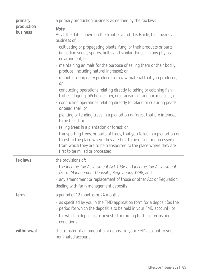| primary<br>production<br>business | a primary production business as defined by the tax laws                                                                                                                                                                                                     |
|-----------------------------------|--------------------------------------------------------------------------------------------------------------------------------------------------------------------------------------------------------------------------------------------------------------|
|                                   | <b>Note</b><br>As at the date shown on the front cover of this Guide, this means a<br>husiness of:<br>• cultivating or propagating plants, fungi or their products or parts                                                                                  |
|                                   | (including seeds, spores, bulbs and similar things), in any physical<br>environment; or                                                                                                                                                                      |
|                                   | • maintaining animals for the purpose of selling them or their bodily<br>produce (including natural increase); or                                                                                                                                            |
|                                   | · manufacturing dairy produce from raw material that you produced;<br>0ſ                                                                                                                                                                                     |
|                                   | • conducting operations relating directly to taking or catching fish,<br>turtles, dugong, bêche-de-mer, crustaceans or aquatic molluscs; or<br>· conducting operations relating directly to taking or culturing pearls<br>or pearl shell; or                 |
|                                   | • planting or tending trees in a plantation or forest that are intended<br>to be felled; or                                                                                                                                                                  |
|                                   | · felling trees in a plantation or forest; or                                                                                                                                                                                                                |
|                                   | • transporting trees, or parts of trees, that you felled in a plantation or<br>forest to the place where they are first to be milled or processed or<br>from which they are to be transported to the place where they are<br>first to be milled or processed |
| tax laws                          | the provisions of:                                                                                                                                                                                                                                           |
|                                   | • the Income Tax Assessment Act 1936 and Income Tax Assessment<br>(Farm Management Deposits) Regulations 1998; and                                                                                                                                           |
|                                   | · any amendment or replacement of those or other Act or Regulation,<br>dealing with farm management deposits                                                                                                                                                 |
| term                              | a period of 12 months or 24 months:                                                                                                                                                                                                                          |
|                                   | · as specified by you in the FMD application form for a deposit (as the<br>period for which the deposit is to be held in your FMD account); or                                                                                                               |
|                                   | • for which a deposit is re-invested according to these terms and<br>conditions                                                                                                                                                                              |
| withdrawal                        | the transfer of an amount of a deposit in your FMD account to your<br>nominated account                                                                                                                                                                      |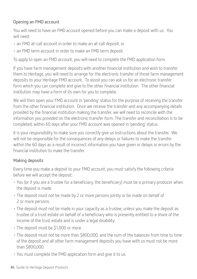### **Opening an FMD account**

You will need to have an FMD account opened before you can make a deposit with us. You will need:

- an FMD at-call account in order to make an at-call deposit; or
- an FMD term account in order to make an FMD term deposit.

To apply to open an FMD account, you will need to complete the FMD application form.

If you have farm management deposits with another financial institution and wish to transfer them to Heritage, you will need to arrange for the electronic transfer of those farm management deposits to your Heritage FMD account. To assist you can ask us for an electronic transfer form which you can complete and give to the other financial institution. The other financial institution may have a form of its own for you to complete.

We will then open your FMD account in 'pending' status for the purpose of receiving the transfer from the other financial institution. Once we receive the transfer and any accompanying details provided by the financial institution making the transfer, we will need to reconcile with the information you provided on the electronic transfer form. The transfer and reconciliation is to be completed, within 60 days after your FMD account was opened in 'pending' status.

It is your responsibility to make sure you correctly give us instructions about the transfer. We will not be responsible for the consequences of any delays or failures to make the transfer within the 60 days as a result of incorrect information you have given or delays or errors by the financial institution to make the transfer.

### **Making deposits**

Every time you make a deposit to your FMD account, you must satisfy the following criteria before we will accept the deposit:

- You (or if you are a trustee for a beneficiary, the beneficiary) must be a primary producer when the deposit is made.
- The deposit must not be made by 2 or more persons jointly or be made on behalf of 2 or more persons.
- The deposit must not be made in your capacity as a trustee, unless you make the deposit as trustee of a trust estate on behalf of a beneficiary who is presently entitled to a share of the income of the trust estate and is under a legal disability.
- The deposit must be \$1,000 or more.
- The deposit must not be more than \$800,000, and the sum of the balances from time to time of the deposit and all other farm management deposits you have with us must not be more than \$800,000.
- You must complete the FMD application form and give it to us.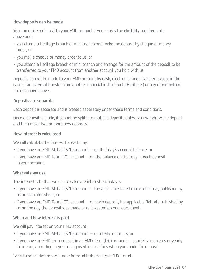#### **How deposits can be made**

You can make a deposit to your FMD account if you satisfy the eligibility requirements above and:

- you attend a Heritage branch or mini branch and make the deposit by cheque or money order; or
- you mail a cheque or money order to us; or
- you attend a Heritage branch or mini branch and arrange for the amount of the deposit to be transferred to your FMD account from another account you hold with us.

Deposits cannot be made to your FMD account by cash, electronic funds transfer (except in the case of an external transfer from another financial institution to Heritage') or any other method not described above.

#### **Deposits are separate**

Each deposit is separate and is treated separately under these terms and conditions.

Once a deposit is made, it cannot be split into multiple deposits unless you withdraw the deposit and then make two or more new deposits.

#### **How interest is calculated**

We will calculate the interest for each day:

- if you have an FMD At-Call (S70) account on that day's account balance; or
- if you have an FMD Term (I70) account on the balance on that day of each deposit in your account.

#### **What rate we use**

The interest rate that we use to calculate interest each day is:

- if you have an FMD At-Call (S70) account the applicable tiered rate on that day published by us on our rates sheet; or
- if you have an FMD Term (I70) account on each deposit, the applicable flat rate published by us on the day the deposit was made or re-invested on our rates sheet.

#### **When and how interest is paid**

We will pay interest on your FMD account:

- if you have an FMD At-Call (S70) account quarterly in arrears; or
- if you have an FMD term deposit in an FMD Term (I70) account quarterly in arrears or yearly in arrears, according to your recognised instructions when you made the deposit.

1 An external transfer can only be made for the initial deposit to your FMD account.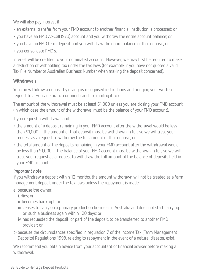We will also pay interest if:

- an external transfer from your FMD account to another financial institution is processed; or
- you have an FMD At-Call (S70) account and you withdraw the entire account balance; or
- you have an FMD term deposit and you withdraw the entire balance of that deposit; or
- you consolidate FMD's.

Interest will be credited to your nominated account. However, we may first be required to make a deduction of withholding tax under the tax laws (for example, if you have not quoted a valid Tax File Number or Australian Business Number when making the deposit concerned).

### **Withdrawals**

You can withdraw a deposit by giving us recognised instructions and bringing your written request to a Heritage branch or mini branch or mailing it to us.

The amount of the withdrawal must be at least \$1,000 unless you are closing your FMD account (in which case the amount of the withdrawal must be the balance of your FMD account).

If you request a withdrawal and:

- the amount of a deposit remaining in your FMD account after the withdrawal would be less than \$1,000 – the amount of that deposit must be withdrawn in full, so we will treat your request as a request to withdraw the full amount of that deposit; or
- the total amount of the deposits remaining in your FMD account after the withdrawal would be less than \$1,000 – the balance of your FMD account must be withdrawn in full, so we will treat your request as a request to withdraw the full amount of the balance of deposits held in your FMD account.

### **Important note**

If you withdraw a deposit within 12 months, the amount withdrawn will not be treated as a farm management deposit under the tax laws unless the repayment is made:

a) because the owner:

- i. dies; or
- ii. becomes bankrupt; or
- iii. ceases to carry on a primary production business in Australia and does not start carrying on such a business again within 120 days; or
- iv. has requested the deposit, or part of the deposit, to be transferred to another FMD provider; or
- b) because the circumstances specified in regulation 7 of the Income Tax (Farm Management Deposits) Regulations 1998, relating to repayment in the event of a natural disaster, exist.

We recommend you obtain advice from your accountant or financial adviser before making a withdrawal.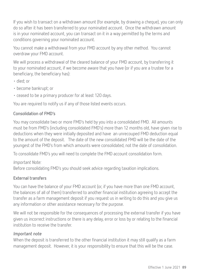If you wish to transact on a withdrawn amount (for example, by drawing a cheque), you can only do so after it has been transferred to your nominated account. Once the withdrawn amount is in your nominated account, you can transact on it in a way permitted by the terms and conditions governing your nominated account.

You cannot make a withdrawal from your FMD account by any other method. You cannot overdraw your FMD account.

We will process a withdrawal of the cleared balance of your FMD account, by transferring it to your nominated account, if we become aware that you have (or if you are a trustee for a beneficiary, the beneficiary has):

- died; or
- become bankrupt; or
- ceased to be a primary producer for at least 120 days.

You are required to notify us if any of those listed events occurs.

#### **Consolidation of FMD's**

You may consolidate two or more FMD's held by you into a consolidated FMD. All amounts must be from FMD's (including consolidated FMD's) more than 12 months old, have given rise to deductions when they were initially deposited and have an unrecouped FMD deduction equal to the amount of the deposit. The date of the new consolidated FMD will be the date of the youngest of the FMD's from which amounts were consolidated, not the date of consolidation.

To consolidate FMD's you will need to complete the FMD account consolidation form.

#### Important Note:

Before consolidating FMD's you should seek advice regarding taxation implications.

#### **External transfers**

You can have the balance of your FMD account (or, if you have more than one FMD account, the balances of all of them) transferred to another financial institution agreeing to accept the transfer as a farm management deposit if you request us in writing to do this and you give us any information or other assistance necessary for the purpose.

We will not be responsible for the consequences of processing the external transfer if you have given us incorrect instructions or there is any delay, error or loss by or relating to the financial institution to receive the transfer.

#### **Important note**

When the deposit is transferred to the other financial institution it may still qualify as a farm management deposit. However, it is your responsibility to ensure that this will be the case.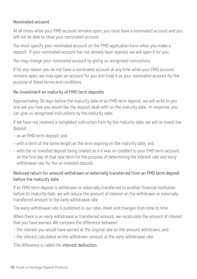#### **Nominated account**

At all times while your FMD account remains open, you must have a nominated account and you will not be able to close your nominated account.

You must specify your nominated account on the FMD application form when you make a deposit. If your nominated account has not already been opened, we will open it for you.

You may change your nominated account by giving us recognised instructions.

If for any reason you do not have a nominated account at any time while your FMD account remains open, we may open an account for you and treat it as your nominated account for the purpose of these terms and conditions.

#### **Re-investment on maturity of FMD term deposits**

Approximately 30 days before the maturity date of an FMD term deposit, we will write to you and ask you how you would like the deposit dealt with on the maturity date. In response, you can give us recognised instructions by the maturity date.

If we have not received a completed instruction form by the maturity date, we will re-invest the deposit:

- as an FMD term deposit; and
- with a term of the same length as the term expiring on the maturity date; and
- with the re-invested deposit being treated as if it was re-credited to your FMD term account on the first day of that new term for the purpose of determining the interest rate and early withdrawal rate for the re-invested deposit.

#### **Reduced return for amount withdrawn or externally transferred from an FMD term deposit before the maturity date**

If an FMD term deposit is withdrawn or externally transferred to another financial institution before its maturity date, we will reduce the amount of interest on the withdrawn or externally transferred amount to the early withdrawal rate.

The early withdrawal rate is published in our rates sheet and changes from time to time.

When there is an early withdrawal or transferred amount, we recalculate the amount of interest that you have earned. We compare the difference between:

- the interest you would have earned at the original rate on the amount withdrawn; and
- the interest calculated on the withdrawn amount at the early withdrawal rate.

This difference is called the **interest deduction**.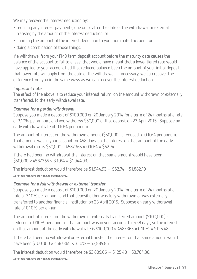We may recover the interest deduction by:

- reducing any interest payments, due on or after the date of the withdrawal or external transfer, by the amount of the interest deduction; or
- charging the amount of the interest deduction to your nominated account; or
- doing a combination of those things.

If a withdrawal from your FMD term deposit account before the maturity date causes the balance of the account to fall to a level that would have meant that a lower tiered rate would have applied to your account had that reduced balance been the amount of your initial deposit, that lower rate will apply from the date of the withdrawal. If necessary, we can recover the difference from you in the same ways as we can recover the interest deduction.

### **Important note**

The effect of the above is to reduce your interest return, on the amount withdrawn or externally transferred, to the early withdrawal rate.

### **Example for a partial withdrawal**

Suppose you made a deposit of \$100,000 on 20 January 2014 for a term of 24 months at a rate of 3.10% per annum, and you withdrew \$50,000 of that deposit on 23 April 2015. Suppose an early withdrawal rate of 0.10% per annum.

The amount of interest on the withdrawn amount (\$50,000) is reduced to 0.10% per annum. That amount was in your account for 458 days, so the interest on that amount at the early withdrawal rate is \$50,000  $\times$  458/365  $\times$  0.10% = \$62.74.

If there had been no withdrawal, the interest on that same amount would have been  $$50,000 \times 458/365 \times 3.10\% = $1,944.93$ .

The interest deduction would therefore be  $$1,944.93 - $62.74 = $1,882.19$ 

**Note: The rates are provided as examples only.**

### **Example for a full withdrawal or external transfer**

Suppose you made a deposit of \$100,000 on 20 January 2014 for a term of 24 months at a rate of 3.10% per annum, and that deposit either was fully withdrawn or was externally transferred to another financial institution on 23 April 2015. Suppose an early withdrawal rate of 0.10% per annum.

The amount of interest on the withdrawn or externally transferred amount (\$100,000) is reduced to 0.10% per annum. That amount was in your account for 458 days, so the interest on that amount at the early withdrawal rate is  $$100,000 \times 458/365 \times 0.10\% = $125.48$ .

If there had been no withdrawal or external transfer, the interest on that same amount would have been  $$100,000 \times 458/365 \times 3.10\% = $3,889.86$ .

The interest deduction would therefore be  $$3,889.86 - $125.48 = $3.764.38$ .

**Note: The rates are provided as examples only.**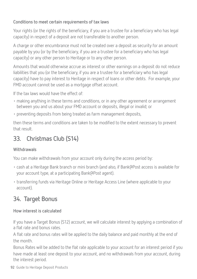### **Conditions to meet certain requirements of tax laws**

Your rights (or the rights of the beneficiary, if you are a trustee for a beneficiary who has legal capacity) in respect of a deposit are not transferable to another person.

A charge or other encumbrance must not be created over a deposit as security for an amount payable by you (or by the beneficiary, if you are a trustee for a beneficiary who has legal capacity) or any other person to Heritage or to any other person.

Amounts that would otherwise accrue as interest or other earnings on a deposit do not reduce liabilities that you (or the beneficiary, if you are a trustee for a beneficiary who has legal capacity) have to pay interest to Heritage in respect of loans or other debts. For example, your FMD account cannot be used as a mortgage offset account.

If the tax laws would have the effect of:

- making anything in these terms and conditions, or in any other agreement or arrangement between you and us about your FMD account or deposits, illegal or invalid; or
- preventing deposits from being treated as farm management deposits,

then these terms and conditions are taken to be modified to the extent necessary to prevent that result.

# **33. Christmas Club (S14)**

### **Withdrawals**

You can make withdrawals from your account only during the access period by:

- cash at a Heritage Bank branch or mini branch (and also, if Bank@Post access is available for your account type, at a participating Bank@Post agent).
- transferring funds via Heritage Online or Heritage Access Line (where applicable to your account).

# **34. Target Bonus**

### **How interest is calculated**

If you have a Target Bonus (S12) account, we will calculate interest by applying a combination of a flat rate and bonus rates.

A flat rate and bonus rates will be applied to the daily balance and paid monthly at the end of the month.

Bonus Rates will be added to the flat rate applicable to your account for an interest period if you have made at least one deposit to your account, and no withdrawals from your account, during the interest period.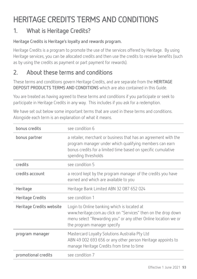# **HERITAGE CREDITS TERMS AND CONDITIONS**

### **1. What is Heritage Credits?**

### **Heritage Credits is Heritage's loyalty and rewards program.**

Heritage Credits is a program to promote the use of the services offered by Heritage. By using Heritage services, you can be allocated credits and then use the credits to receive benefits (such as by using the credits as payment or part payment for rewards).

### **2. About these terms and conditions**

These terms and conditions govern Heritage Credits, and are separate from the **HERITAGE DEPOSIT PRODUCTS TERMS AND CONDITIONS** which are also contained in this Guide.

You are treated as having agreed to these terms and conditions if you participate or seek to participate in Heritage Credits in any way. This includes if you ask for a redemption.

We have set out below some important terms that are used in these terms and conditions. Alongside each term is an explanation of what it means.

| bonus credits            | see condition 6                                                                                                                                                                                                    |
|--------------------------|--------------------------------------------------------------------------------------------------------------------------------------------------------------------------------------------------------------------|
| bonus partner            | a retailer, merchant or business that has an agreement with the<br>program manager under which qualifying members can earn<br>bonus credits for a limited time based on specific cumulative<br>spending thresholds |
| credits                  | see condition 5                                                                                                                                                                                                    |
| credits account          | a record kept by the program manager of the credits you have<br>earned and which are available to you                                                                                                              |
| Heritage                 | Heritage Bank Limited ABN 32 087 652 024                                                                                                                                                                           |
| <b>Heritage Credits</b>  | see condition 1                                                                                                                                                                                                    |
| Heritage Credits website | Login to Online banking which is located at<br>www.heritage.com.au click on "Services" then on the drop down<br>menu select "Rewarding you" or any other Online location we or<br>the program manager specify      |
| program manager          | Mastercard Loyalty Solutions Australia Pty Ltd<br>ABN 49 002 693 656 or any other person Heritage appoints to<br>manage Heritage Credits from time to time                                                         |
| promotional credits      | see condition 7                                                                                                                                                                                                    |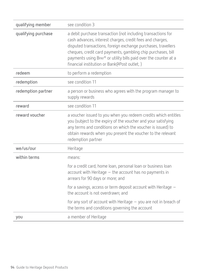| qualifying member   | see condition 3                                                                                                                                                                                                                                                                                                                                                               |
|---------------------|-------------------------------------------------------------------------------------------------------------------------------------------------------------------------------------------------------------------------------------------------------------------------------------------------------------------------------------------------------------------------------|
| qualifying purchase | a debit purchase transaction (not including transactions for<br>cash advances, interest charges, credit fees and charges,<br>disputed transactions, foreign exchange purchases, travellers<br>cheques, credit card payments, gambling chip purchases, bill<br>payments using BPAY® or utility bills paid over the counter at a<br>financial institution or Bank@Post outlet,) |
| redeem              | to perform a redemption                                                                                                                                                                                                                                                                                                                                                       |
| redemption          | see condition 11                                                                                                                                                                                                                                                                                                                                                              |
| redemption partner  | a person or business who agrees with the program manager to<br>supply rewards                                                                                                                                                                                                                                                                                                 |
| reward              | see condition 11                                                                                                                                                                                                                                                                                                                                                              |
| reward voucher      | a voucher issued to you when you redeem credits which entitles<br>you (subject to the expiry of the voucher and your satisfying<br>any terms and conditions on which the voucher is issued) to<br>obtain rewards when you present the voucher to the relevant<br>redemption partner                                                                                           |
| we/us/our           | Heritage                                                                                                                                                                                                                                                                                                                                                                      |
| within terms        | means:                                                                                                                                                                                                                                                                                                                                                                        |
|                     | for a credit card, home loan, personal loan or business loan<br>account with Heritage - the account has no payments in<br>arrears for 90 days or more; and                                                                                                                                                                                                                    |
|                     | for a savings, access or term deposit account with Heritage -<br>the account is not overdrawn; and                                                                                                                                                                                                                                                                            |
|                     | for any sort of account with Heritage $-$ you are not in breach of<br>the terms and conditions governing the account                                                                                                                                                                                                                                                          |
| you                 | a member of Heritage                                                                                                                                                                                                                                                                                                                                                          |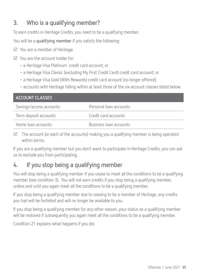# **3. Who is a qualifying member?**

To earn credits in Heritage Credits, you need to be a qualifying member.

You will be a **qualifying member** if you satisfy the following:

- $\boxtimes$  You are a member of Heritage.
- You are the account holder for:
	- a Heritage Visa Platinum credit card account; or
	- a Heritage Visa Classic (excluding My First Credit Card) credit card account; or
	- a Heritage Visa Gold (With Rewards) credit card account (no longer offered);
	- accounts with Heritage falling within at least three of the six account classes listed below.

| <b>ACCOUNT CLASSES</b>  |                        |
|-------------------------|------------------------|
| Savings/access accounts | Personal loan accounts |
| Term deposit accounts   | Credit card accounts   |
| Home loan accounts      | Business Ioan accounts |

 $\boxtimes$  The account (or each of the accounts) making you a qualifying member is being operated within terms.

If you are a qualifying member but you don't want to participate in Heritage Credits, you can ask us to exclude you from participating.

# **4. If you stop being a qualifying member**

You will stop being a qualifying member if you cease to meet all the conditions to be a qualifying member (see condition 3). You will not earn credits if you stop being a qualifying member, unless and until you again meet all the conditions to be a qualifying member.

If you stop being a qualifying member due to ceasing to be a member of Heritage, any credits you had will be forfeited and will no longer be available to you.

If you stop being a qualifying member for any other reason, your status as a qualifying member will be restored if subsequently you again meet all the conditions to be a qualifying member.

Condition 21 explains what happens if you die.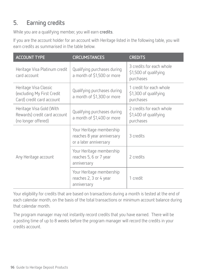# **5. Earning credits**

While you are a qualifying member, you will earn **credits**.

If you are the account holder for an account with Heritage listed in the following table, you will earn credits as summarised in the table below.

| <b>ACCOUNT TYPE</b>                                                              | <b>CIRCUMSTANCES</b>                                                             | <b>CREDITS</b>                                                 |
|----------------------------------------------------------------------------------|----------------------------------------------------------------------------------|----------------------------------------------------------------|
| Heritage Visa Platinum credit<br>card account                                    | Qualifying purchases during<br>a month of \$1,500 or more                        | 3 credits for each whole<br>\$1,500 of qualifying<br>purchases |
| Heritage Visa Classic<br>(excluding My First Credit<br>Card) credit card account | Qualifying purchases during<br>a month of \$1,300 or more                        | 1 credit for each whole<br>\$1,300 of qualifying<br>purchases  |
| Heritage Visa Gold (With<br>Rewards) credit card account<br>(no longer offered)  | Qualifying purchases during<br>a month of \$1,400 or more                        | 2 credits for each whole<br>\$1,400 of qualifying<br>purchases |
| Any Heritage account                                                             | Your Heritage membership<br>reaches 8 year anniversary<br>or a later anniversary | 3 credits                                                      |
|                                                                                  | Your Heritage membership<br>reaches 5, 6 or 7 year<br>anniversary                | 2 credits                                                      |
|                                                                                  | Your Heritage membership<br>reaches 2, 3 or 4 year<br>anniversary                | 1 credit                                                       |

Your eligibility for credits that are based on transactions during a month is tested at the end of each calendar month, on the basis of the total transactions or minimum account balance during that calendar month.

The program manager may not instantly record credits that you have earned. There will be a posting time of up to 8 weeks before the program manager will record the credits in your credits account.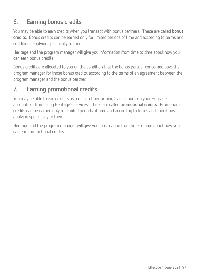# **6. Earning bonus credits**

You may be able to earn credits when you transact with bonus partners. These are called **bonus credits**. Bonus credits can be earned only for limited periods of time and according to terms and conditions applying specifically to them.

Heritage and the program manager will give you information from time to time about how you can earn bonus credits.

Bonus credits are allocated to you on the condition that the bonus partner concerned pays the program manager for those bonus credits, according to the terms of an agreement between the program manager and the bonus partner.

# **7. Earning promotional credits**

You may be able to earn credits as a result of performing transactions on your Heritage accounts or from using Heritage's services. These are called **promotional credits**. Promotional credits can be earned only for limited periods of time and according to terms and conditions applying specifically to them.

Heritage and the program manager will give you information from time to time about how you can earn promotional credits.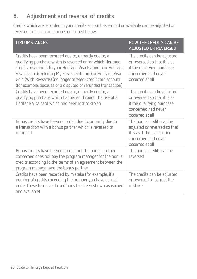# **8. Adjustment and reversal of credits**

Credits which are recorded in your credits account as earned or available can be adjusted or reversed in the circumstances described below.

| <b>CIRCUMSTANCES</b>                                                                                                                                                                                                                                                                                                                                                                   | HOW THE CREDITS CAN BE<br><b>ADJUSTED OR REVERSED</b>                                                                               |
|----------------------------------------------------------------------------------------------------------------------------------------------------------------------------------------------------------------------------------------------------------------------------------------------------------------------------------------------------------------------------------------|-------------------------------------------------------------------------------------------------------------------------------------|
| Credits have been recorded due to, or partly due to, a<br>qualifying purchase which is reversed or for which Heritage<br>credits an amount to your Heritage Visa Platinum or Heritage<br>Visa Classic (excluding My First Credit Card) or Heritage Visa<br>Gold (With Rewards) (no longer offered) credit card account<br>(for example, because of a disputed or refunded transaction) | The credits can be adjusted<br>or reversed so that it is as<br>if the qualifying purchase<br>concerned had never<br>occurred at all |
| Credits have been recorded due to, or partly due to, a<br>qualifying purchase which happened through the use of a<br>Heritage Visa card which had been lost or stolen                                                                                                                                                                                                                  | The credits can be adjusted<br>or reversed so that it is as<br>if the qualifying purchase<br>concerned had never<br>occurred at all |
| Bonus credits have been recorded due to, or partly due to,<br>a transaction with a bonus partner which is reversed or<br>refunded                                                                                                                                                                                                                                                      | The bonus credits can be<br>adjusted or reversed so that<br>it is as if the transaction<br>concerned had never<br>occurred at all   |
| Bonus credits have been recorded but the bonus partner<br>concerned does not pay the program manager for the bonus<br>credits according to the terms of an agreement between the<br>program manager and the bonus partner                                                                                                                                                              | The bonus credits can be<br>reversed                                                                                                |
| Credits have been recorded by mistake (for example, if a<br>number of credits exceeding the number you have earned<br>under these terms and conditions has been shown as earned<br>and available)                                                                                                                                                                                      | The credits can be adjusted<br>or reversed to correct the<br>mistake                                                                |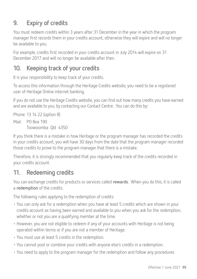# **9. Expiry of credits**

You must redeem credits within 3 years after 31 December in the year in which the program manager first records them in your credits account, otherwise they will expire and will no longer be available to you.

For example, credits first recorded in your credits account in July 2014 will expire on 31 December 2017 and will no longer be available after then.

### **10. Keeping track of your credits**

It is your responsibility to keep track of your credits.

To access this information through the Heritage Credits website, you need to be a registered user of Heritage Online internet banking.

If you do not use the Heritage Credits website, you can find out how many credits you have earned and are available to you, by contacting our Contact Centre. You can do this by:

```
Phone: 13 14 22 (option 8)
Mail: PO Box 190
      Toowoomba Qld 4350
```
If you think there is a mistake in how Heritage or the program manager has recorded the credits in your credits account, you will have 30 days from the date that the program manager recorded those credits to prove to the program manager that there is a mistake.

Therefore, it is strongly recommended that you regularly keep track of the credits recorded in your credits account.

# **11. Redeeming credits**

You can exchange credits for products or services called **rewards**. When you do this, it is called a **redemption** of the credits.

The following rules applying to the redemption of credits:

- You can only ask for a redemption when you have at least 5 credits which are shown in your credits account as having been earned and available to you when you ask for the redemption, whether or not you are a qualifying member at the time.
- However, you are not eligible to redeem if any of your accounts with Heritage is not being operated within terms or if you are not a member of Heritage.
- You must use at least 5 credits in the redemption.
- You cannot pool or combine your credits with anyone else's credits in a redemption.
- You need to apply to the program manager for the redemption and follow any procedures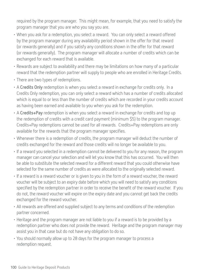required by the program manager. This might mean, for example, that you need to satisfy the program manager that you are who you say you are.

- When you ask for a redemption, you select a reward. You can only select a reward offered by the program manager during any availability period shown in the offer for that reward (or rewards generally) and if you satisfy any conditions shown in the offer for that reward (or rewards generally). The program manager will allocate a number of credits which can be exchanged for each reward that is available.
- Rewards are subject to availability and there may be limitations on how many of a particular reward that the redemption partner will supply to people who are enrolled in Heritage Credits.
- There are two types of redemptions.
- A **Credits Only** redemption is when you select a reward in exchange for credits only. In a Credits Only redemption, you can only select a reward which has a number of credits allocated which is equal to or less than the number of credits which are recorded in your credits account as having been earned and available to you when you ask for the redemption.
- A **Credits+Pay** redemption is when you select a reward in exchange for credits and top up the redemption of credits with a credit card payment (minimum \$5) to the program manager. Credits+Pay redemptions cannot be used for all rewards. Credits+Pay redemptions are only available for the rewards that the program manager specifies.
- Whenever there is a redemption of credits, the program manager will deduct the number of credits exchanged for the reward and those credits will no longer be available to you.
- If a reward you selected in a redemption cannot be delivered to you for any reason, the program manager can cancel your selection and will let you know that this has occurred. You will then be able to substitute the selected reward for a different reward that you could otherwise have selected for the same number of credits as were allocated to the originally selected reward.
- If a reward is a reward voucher or is given to you in the form of a reward voucher, the reward voucher will be subject to an expiry date before which you will need to satisfy any conditions specified by the redemption partner in order to receive the benefit of the reward voucher. If you do not, the reward voucher will expire on the expiry date and you cannot get back the credits exchanged for the reward voucher.
- All rewards are offered and supplied subject to any terms and conditions of the redemption partner concerned.
- Heritage and the program manager are not liable to you if a reward is to be provided by a redemption partner who does not provide the reward. Heritage and the program manager may assist you in that case but do not have any obligation to do so.
- You should normally allow up to 28 days for the program manager to process a redemption request.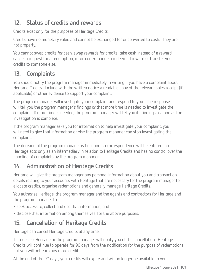### **12. Status of credits and rewards**

Credits exist only for the purposes of Heritage Credits.

Credits have no monetary value and cannot be exchanged for or converted to cash. They are not property.

You cannot swap credits for cash, swap rewards for credits, take cash instead of a reward, cancel a request for a redemption, return or exchange a redeemed reward or transfer your credits to someone else.

# **13. Complaints**

You should notify the program manager immediately in writing if you have a complaint about Heritage Credits. Include with the written notice a readable copy of the relevant sales receipt (if applicable) or other evidence to support your complaint.

The program manager will investigate your complaint and respond to you. The response will tell you the program manager's findings or that more time is needed to investigate the complaint. If more time is needed, the program manager will tell you its findings as soon as the investigation is complete.

If the program manager asks you for information to help investigate your complaint, you will need to give that information or else the program manager can stop investigating the complaint.

The decision of the program manager is final and no correspondence will be entered into. Heritage acts only as an intermediary in relation to Heritage Credits and has no control over the handling of complaints by the program manager.

# **14. Administration of Heritage Credits**

Heritage will give the program manager any personal information about you and transaction details relating to your accounts with Heritage that are necessary for the program manager to allocate credits, organise redemptions and generally manage Heritage Credits.

You authorise Heritage, the program manager and the agents and contractors for Heritage and the program manager to:

- seek access to, collect and use that information; and
- disclose that information among themselves, for the above purposes.

# **15. Cancellation of Heritage Credits**

Heritage can cancel Heritage Credits at any time.

If it does so, Heritage or the program manager will notify you of the cancellation. Heritage Credits will continue to operate for 90 days from the notification for the purpose of redemptions but you will not earn any more credits.

At the end of the 90 days, your credits will expire and will no longer be available to you.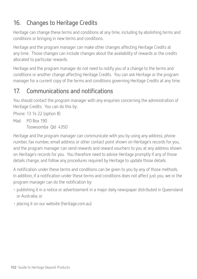# **16. Changes to Heritage Credits**

Heritage can change these terms and conditions at any time, including by abolishing terms and conditions or bringing in new terms and conditions.

Heritage and the program manager can make other changes affecting Heritage Credits at any time. Those changes can include changes about the availability of rewards or the credits allocated to particular rewards.

Heritage and the program manager do not need to notify you of a change to the terms and conditions or another change affecting Heritage Credits. You can ask Heritage or the program manager for a current copy of the terms and conditions governing Heritage Credits at any time.

### **17. Communications and notifications**

You should contact the program manager with any enquiries concerning the administration of Heritage Credits. You can do this by:

Phone: 13 14 22 (option 8)

Mail: PO Box 190 Toowoomba Qld 4350

Heritage and the program manager can communicate with you by using any address, phone number, fax number, email address or other contact point shown on Heritage's records for you, and the program manager can send rewards and reward vouchers to you at any address shown on Heritage's records for you. You therefore need to advise Heritage promptly if any of those details change, and follow any procedures required by Heritage to update those details.

A notification under these terms and conditions can be given to you by any of those methods. In addition, if a notification under these terms and conditions does not affect just you, we or the program manager can do the notification by:

- publishing it in a notice or advertisement in a major daily newspaper distributed in Queensland or Australia; or
- placing it on our website (heritage.com.au)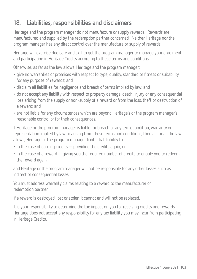### **18. Liabilities, responsibilities and disclaimers**

Heritage and the program manager do not manufacture or supply rewards. Rewards are manufactured and supplied by the redemption partner concerned. Neither Heritage nor the program manager has any direct control over the manufacture or supply of rewards.

Heritage will exercise due care and skill to get the program manager to manage your enrolment and participation in Heritage Credits according to these terms and conditions.

Otherwise, as far as the law allows, Heritage and the program manager:

- give no warranties or promises with respect to type, quality, standard or fitness or suitability for any purpose of rewards; and
- disclaim all liabilities for negligence and breach of terms implied by law; and
- do not accept any liability with respect to property damage, death, injury or any consequential loss arising from the supply or non-supply of a reward or from the loss, theft or destruction of a reward; and
- are not liable for any circumstances which are beyond Heritage's or the program manager's reasonable control or for their consequences.

If Heritage or the program manager is liable for breach of any term, condition, warranty or representation implied by law or arising from these terms and conditions, then as far as the law allows, Heritage or the program manager limits that liability to:

- in the case of earning credits providing the credits again; or
- in the case of a reward giving you the required number of credits to enable you to redeem the reward again,

and Heritage or the program manager will not be responsible for any other losses such as indirect or consequential losses.

You must address warranty claims relating to a reward to the manufacturer or redemption partner.

If a reward is destroyed, lost or stolen it cannot and will not be replaced.

It is your responsibility to determine the tax impact on you for receiving credits and rewards. Heritage does not accept any responsibility for any tax liability you may incur from participating in Heritage Credits.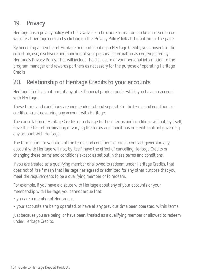# **19. Privacy**

Heritage has a privacy policy which is available in brochure format or can be accessed on our website at heritage.com.au by clicking on the 'Privacy Policy' link at the bottom of the page.

By becoming a member of Heritage and participating in Heritage Credits, you consent to the collection, use, disclosure and handling of your personal information as contemplated by Heritage's Privacy Policy. That will include the disclosure of your personal information to the program manager and rewards partners as necessary for the purpose of operating Heritage Credits.

### **20. Relationship of Heritage Credits to your accounts**

Heritage Credits is not part of any other financial product under which you have an account with Heritage.

These terms and conditions are independent of and separate to the terms and conditions or credit contract governing any account with Heritage.

The cancellation of Heritage Credits or a change to these terms and conditions will not, by itself, have the effect of terminating or varying the terms and conditions or credit contract governing any account with Heritage.

The termination or variation of the terms and conditions or credit contract governing any account with Heritage will not, by itself, have the effect of cancelling Heritage Credits or changing these terms and conditions except as set out in these terms and conditions.

If you are treated as a qualifying member or allowed to redeem under Heritage Credits, that does not of itself mean that Heritage has agreed or admitted for any other purpose that you meet the requirements to be a qualifying member or to redeem.

For example, if you have a dispute with Heritage about any of your accounts or your membership with Heritage, you cannot argue that:

- you are a member of Heritage; or
- your accounts are being operated, or have at any previous time been operated, within terms,

just because you are being, or have been, treated as a qualifying member or allowed to redeem under Heritage Credits.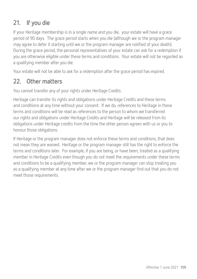# **21. If you die**

If your Heritage membership is in a single name and you die, your estate will have a grace period of 90 days. The grace period starts when you die (although we or the program manager may agree to defer it starting until we or the program manager are notified of your death). During the grace period, the personal representatives of your estate can ask for a redemption if you are otherwise eligible under these terms and conditions. Your estate will not be regarded as a qualifying member after you die.

Your estate will not be able to ask for a redemption after the grace period has expired.

# **22. Other matters**

You cannot transfer any of your rights under Heritage Credits.

Heritage can transfer its rights and obligations under Heritage Credits and these terms and conditions at any time without your consent. If we do, references to Heritage in these terms and conditions will be read as references to the person to whom we transferred our rights and obligations under Heritage Credits and Heritage will be released from its obligations under Heritage credits from the time the other person agrees with us or you to honour those obligations.

If Heritage or the program manager does not enforce these terms and conditions, that does not mean they are waived. Heritage or the program manager still has the right to enforce the terms and conditions later. For example, if you are being, or have been, treated as a qualifying member in Heritage Credits even though you do not meet the requirements under these terms and conditions to be a qualifying member, we or the program manager can stop treating you as a qualifying member at any time after we or the program manager find out that you do not meet those requirements.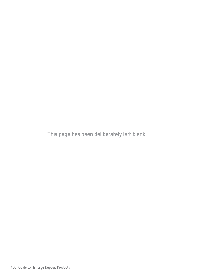**This page has been deliberately left blank**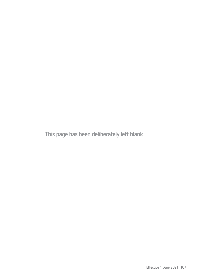**This page has been deliberately left blank**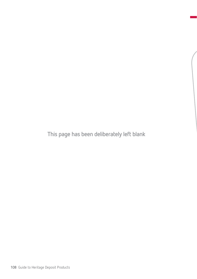**This page has been deliberately left blank**